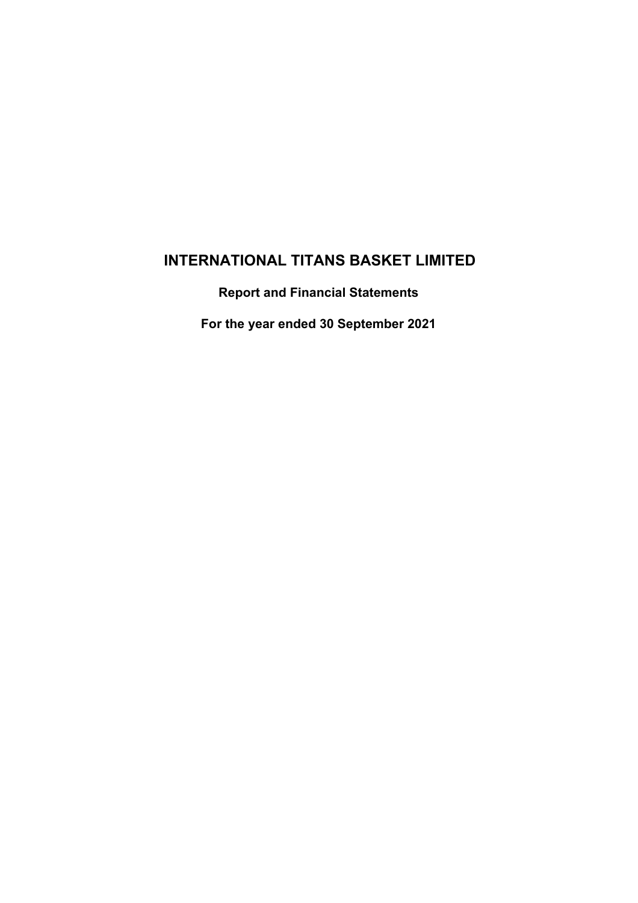**Report and Financial Statements**

**For the year ended 30 September 2021**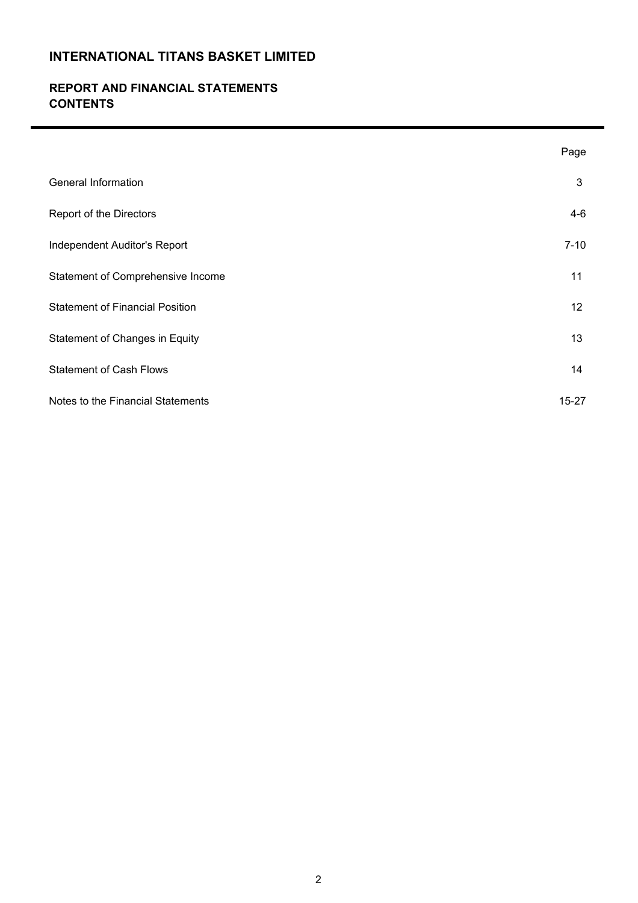# **REPORT AND FINANCIAL STATEMENTS CONTENTS**

|                                        | Page     |
|----------------------------------------|----------|
| General Information                    | 3        |
| Report of the Directors                | $4-6$    |
| Independent Auditor's Report           | $7 - 10$ |
| Statement of Comprehensive Income      | 11       |
| <b>Statement of Financial Position</b> | 12       |
| Statement of Changes in Equity         | 13       |
| <b>Statement of Cash Flows</b>         | 14       |
| Notes to the Financial Statements      | 15-27    |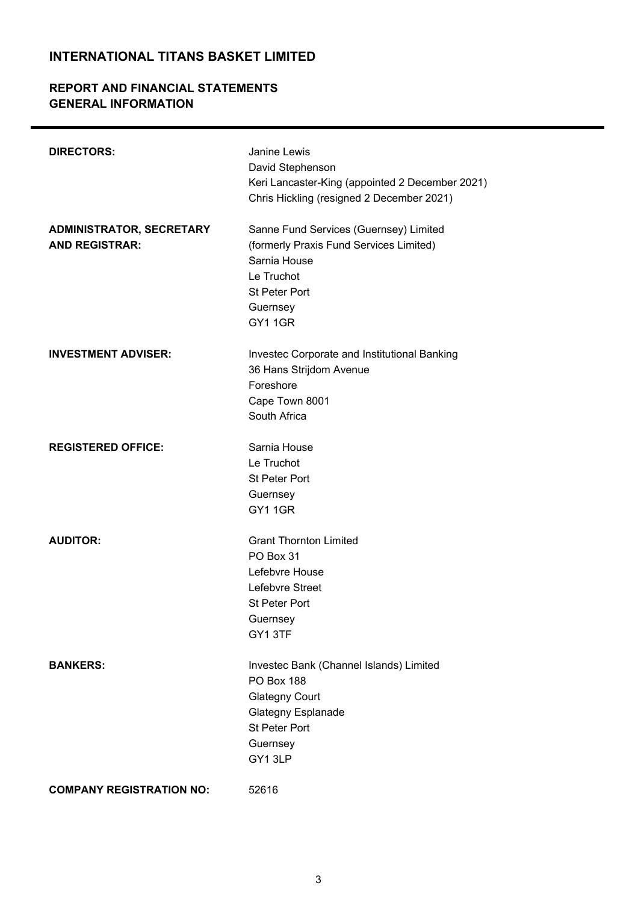# **REPORT AND FINANCIAL STATEMENTS GENERAL INFORMATION**

| <b>DIRECTORS:</b>                                        | Janine Lewis<br>David Stephenson<br>Keri Lancaster-King (appointed 2 December 2021)<br>Chris Hickling (resigned 2 December 2021)                                     |
|----------------------------------------------------------|----------------------------------------------------------------------------------------------------------------------------------------------------------------------|
| <b>ADMINISTRATOR, SECRETARY</b><br><b>AND REGISTRAR:</b> | Sanne Fund Services (Guernsey) Limited<br>(formerly Praxis Fund Services Limited)<br>Sarnia House<br>Le Truchot<br><b>St Peter Port</b><br>Guernsey<br><b>GY11GR</b> |
| <b>INVESTMENT ADVISER:</b>                               | Investec Corporate and Institutional Banking<br>36 Hans Strijdom Avenue<br>Foreshore<br>Cape Town 8001<br>South Africa                                               |
| <b>REGISTERED OFFICE:</b>                                | Sarnia House<br>Le Truchot<br><b>St Peter Port</b><br>Guernsey<br><b>GY11GR</b>                                                                                      |
| <b>AUDITOR:</b>                                          | <b>Grant Thornton Limited</b><br>PO Box 31<br>Lefebvre House<br>Lefebvre Street<br><b>St Peter Port</b><br>Guernsey<br>GY13TF                                        |
| <b>BANKERS:</b>                                          | Investec Bank (Channel Islands) Limited<br><b>PO Box 188</b><br><b>Glategny Court</b><br>Glategny Esplanade<br><b>St Peter Port</b><br>Guernsey<br>GY13LP            |
| <b>COMPANY REGISTRATION NO:</b>                          | 52616                                                                                                                                                                |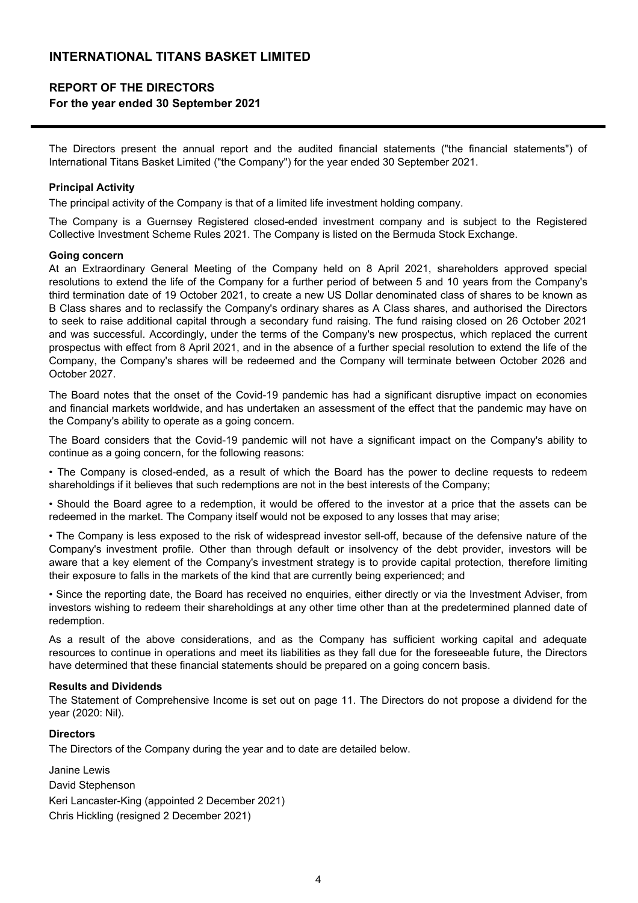# **REPORT OF THE DIRECTORS For the year ended 30 September 2021**

The Directors present the annual report and the audited financial statements ("the financial statements") of International Titans Basket Limited ("the Company") for the year ended 30 September 2021.

#### **Principal Activity**

The principal activity of the Company is that of a limited life investment holding company.

The Company is a Guernsey Registered closed-ended investment company and is subject to the Registered Collective Investment Scheme Rules 2021. The Company is listed on the Bermuda Stock Exchange.

#### **Going concern**

At an Extraordinary General Meeting of the Company held on 8 April 2021, shareholders approved special resolutions to extend the life of the Company for a further period of between 5 and 10 years from the Company's third termination date of 19 October 2021, to create a new US Dollar denominated class of shares to be known as B Class shares and to reclassify the Company's ordinary shares as A Class shares, and authorised the Directors to seek to raise additional capital through a secondary fund raising. The fund raising closed on 26 October 2021 and was successful. Accordingly, under the terms of the Company's new prospectus, which replaced the current prospectus with effect from 8 April 2021, and in the absence of a further special resolution to extend the life of the Company, the Company's shares will be redeemed and the Company will terminate between October 2026 and October 2027.

The Board notes that the onset of the Covid-19 pandemic has had a significant disruptive impact on economies and financial markets worldwide, and has undertaken an assessment of the effect that the pandemic may have on the Company's ability to operate as a going concern.

The Board considers that the Covid-19 pandemic will not have a significant impact on the Company's ability to continue as a going concern, for the following reasons:

• The Company is closed-ended, as a result of which the Board has the power to decline requests to redeem shareholdings if it believes that such redemptions are not in the best interests of the Company;

• Should the Board agree to a redemption, it would be offered to the investor at a price that the assets can be redeemed in the market. The Company itself would not be exposed to any losses that may arise;

• The Company is less exposed to the risk of widespread investor sell-off, because of the defensive nature of the Company's investment profile. Other than through default or insolvency of the debt provider, investors will be aware that a key element of the Company's investment strategy is to provide capital protection, therefore limiting their exposure to falls in the markets of the kind that are currently being experienced; and

• Since the reporting date, the Board has received no enquiries, either directly or via the Investment Adviser, from investors wishing to redeem their shareholdings at any other time other than at the predetermined planned date of redemption.

As a result of the above considerations, and as the Company has sufficient working capital and adequate resources to continue in operations and meet its liabilities as they fall due for the foreseeable future, the Directors have determined that these financial statements should be prepared on a going concern basis.

#### **Results and Dividends**

The Statement of Comprehensive Income is set out on page 11. The Directors do not propose a dividend for the year (2020: Nil).

#### **Directors**

The Directors of the Company during the year and to date are detailed below.

Janine Lewis David Stephenson Keri Lancaster-King (appointed 2 December 2021) Chris Hickling (resigned 2 December 2021)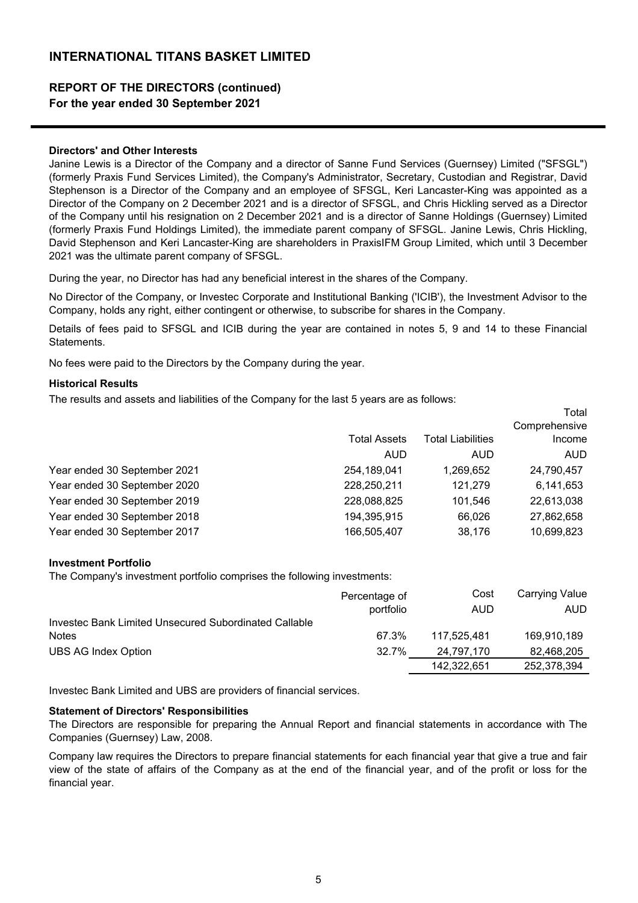## **REPORT OF THE DIRECTORS (continued) For the year ended 30 September 2021**

#### **Directors' and Other Interests**

Janine Lewis is a Director of the Company and a director of Sanne Fund Services (Guernsey) Limited ("SFSGL") (formerly Praxis Fund Services Limited), the Company's Administrator, Secretary, Custodian and Registrar, David Stephenson is a Director of the Company and an employee of SFSGL, Keri Lancaster-King was appointed as a Director of the Company on 2 December 2021 and is a director of SFSGL, and Chris Hickling served as a Director of the Company until his resignation on 2 December 2021 and is a director of Sanne Holdings (Guernsey) Limited (formerly Praxis Fund Holdings Limited), the immediate parent company of SFSGL. Janine Lewis, Chris Hickling, David Stephenson and Keri Lancaster-King are shareholders in PraxisIFM Group Limited, which until 3 December 2021 was the ultimate parent company of SFSGL.

During the year, no Director has had any beneficial interest in the shares of the Company.

No Director of the Company, or Investec Corporate and Institutional Banking ('ICIB'), the Investment Advisor to the Company, holds any right, either contingent or otherwise, to subscribe for shares in the Company.

Details of fees paid to SFSGL and ICIB during the year are contained in notes 5, 9 and 14 to these Financial Statements.

 $T_{\text{total}}$ 

No fees were paid to the Directors by the Company during the year.

#### **Historical Results**

The results and assets and liabilities of the Company for the last 5 years are as follows:

|                              |                     |                          | TUldi         |
|------------------------------|---------------------|--------------------------|---------------|
|                              |                     |                          | Comprehensive |
|                              | <b>Total Assets</b> | <b>Total Liabilities</b> | Income        |
|                              | <b>AUD</b>          | AUD                      | <b>AUD</b>    |
| Year ended 30 September 2021 | 254,189,041         | 1,269,652                | 24,790,457    |
| Year ended 30 September 2020 | 228,250,211         | 121.279                  | 6,141,653     |
| Year ended 30 September 2019 | 228,088,825         | 101,546                  | 22,613,038    |
| Year ended 30 September 2018 | 194,395,915         | 66.026                   | 27,862,658    |
| Year ended 30 September 2017 | 166,505,407         | 38,176                   | 10,699,823    |
|                              |                     |                          |               |

#### **Investment Portfolio**

The Company's investment portfolio comprises the following investments:

|                                                       | Percentage of | Cost        | <b>Carrying Value</b> |
|-------------------------------------------------------|---------------|-------------|-----------------------|
|                                                       | portfolio     | AUD         | AUD                   |
| Investec Bank Limited Unsecured Subordinated Callable |               |             |                       |
| <b>Notes</b>                                          | 67.3%         | 117.525.481 | 169,910,189           |
| UBS AG Index Option                                   | 32.7%         | 24.797.170  | 82,468,205            |
|                                                       |               | 142.322.651 | 252,378,394           |

Investec Bank Limited and UBS are providers of financial services.

#### **Statement of Directors' Responsibilities**

The Directors are responsible for preparing the Annual Report and financial statements in accordance with The Companies (Guernsey) Law, 2008.

Company law requires the Directors to prepare financial statements for each financial year that give a true and fair view of the state of affairs of the Company as at the end of the financial year, and of the profit or loss for the financial year.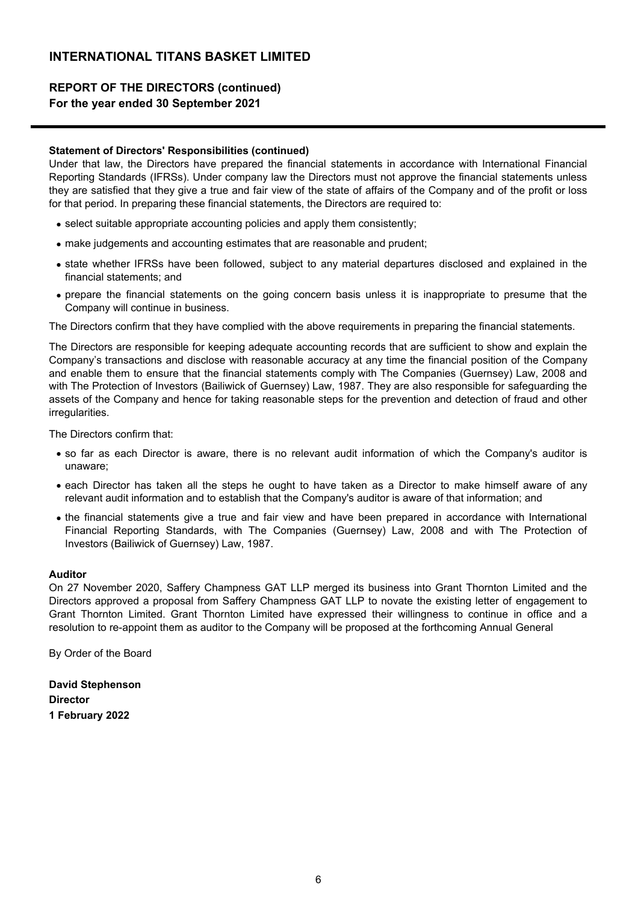## **REPORT OF THE DIRECTORS (continued) For the year ended 30 September 2021**

#### **Statement of Directors' Responsibilities (continued)**

Under that law, the Directors have prepared the financial statements in accordance with International Financial Reporting Standards (IFRSs). Under company law the Directors must not approve the financial statements unless they are satisfied that they give a true and fair view of the state of affairs of the Company and of the profit or loss for that period. In preparing these financial statements, the Directors are required to:

- select suitable appropriate accounting policies and apply them consistently;
- make judgements and accounting estimates that are reasonable and prudent;
- state whether IFRSs have been followed, subject to any material departures disclosed and explained in the financial statements; and
- prepare the financial statements on the going concern basis unless it is inappropriate to presume that the Company will continue in business.

The Directors confirm that they have complied with the above requirements in preparing the financial statements.

The Directors are responsible for keeping adequate accounting records that are sufficient to show and explain the Company's transactions and disclose with reasonable accuracy at any time the financial position of the Company and enable them to ensure that the financial statements comply with The Companies (Guernsey) Law, 2008 and with The Protection of Investors (Bailiwick of Guernsey) Law, 1987. They are also responsible for safeguarding the assets of the Company and hence for taking reasonable steps for the prevention and detection of fraud and other irregularities.

The Directors confirm that:

- so far as each Director is aware, there is no relevant audit information of which the Company's auditor is unaware;
- each Director has taken all the steps he ought to have taken as a Director to make himself aware of any relevant audit information and to establish that the Company's auditor is aware of that information; and
- the financial statements give a true and fair view and have been prepared in accordance with International Financial Reporting Standards, with The Companies (Guernsey) Law, 2008 and with The Protection of Investors (Bailiwick of Guernsey) Law, 1987.

#### **Auditor**

On 27 November 2020, Saffery Champness GAT LLP merged its business into Grant Thornton Limited and the Directors approved a proposal from Saffery Champness GAT LLP to novate the existing letter of engagement to Grant Thornton Limited. Grant Thornton Limited have expressed their willingness to continue in office and a resolution to re-appoint them as auditor to the Company will be proposed at the forthcoming Annual General

By Order of the Board

**David Stephenson Director 1 February 2022**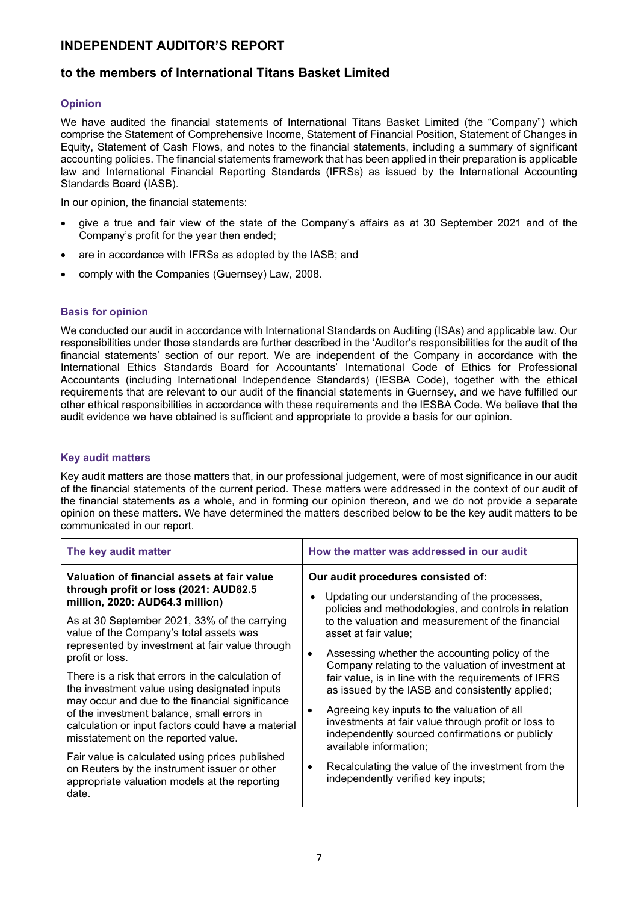# **to the members of International Titans Basket Limited**

#### **Opinion**

We have audited the financial statements of International Titans Basket Limited (the "Company") which comprise the Statement of Comprehensive Income, Statement of Financial Position, Statement of Changes in Equity, Statement of Cash Flows, and notes to the financial statements, including a summary of significant accounting policies. The financial statements framework that has been applied in their preparation is applicable law and International Financial Reporting Standards (IFRSs) as issued by the International Accounting Standards Board (IASB).

In our opinion, the financial statements:

- give a true and fair view of the state of the Company's affairs as at 30 September 2021 and of the Company's profit for the year then ended;
- are in accordance with IFRSs as adopted by the IASB; and
- comply with the Companies (Guernsey) Law, 2008.

#### **Basis for opinion**

We conducted our audit in accordance with International Standards on Auditing (ISAs) and applicable law. Our responsibilities under those standards are further described in the 'Auditor's responsibilities for the audit of the financial statements' section of our report. We are independent of the Company in accordance with the International Ethics Standards Board for Accountants' International Code of Ethics for Professional Accountants (including International Independence Standards) (IESBA Code), together with the ethical requirements that are relevant to our audit of the financial statements in Guernsey, and we have fulfilled our other ethical responsibilities in accordance with these requirements and the IESBA Code. We believe that the audit evidence we have obtained is sufficient and appropriate to provide a basis for our opinion.

#### **Key audit matters**

Key audit matters are those matters that, in our professional judgement, were of most significance in our audit of the financial statements of the current period. These matters were addressed in the context of our audit of the financial statements as a whole, and in forming our opinion thereon, and we do not provide a separate opinion on these matters. We have determined the matters described below to be the key audit matters to be communicated in our report.

| The key audit matter                                                                                                                                                                                                                                                                                                                                                                                                                                                                                                                                                                                                                                                                                                                                     | How the matter was addressed in our audit                                                                                                                                                                                                                                                                                                                                                                                                                                                                                                                                                                                                                                                                                                                     |  |  |
|----------------------------------------------------------------------------------------------------------------------------------------------------------------------------------------------------------------------------------------------------------------------------------------------------------------------------------------------------------------------------------------------------------------------------------------------------------------------------------------------------------------------------------------------------------------------------------------------------------------------------------------------------------------------------------------------------------------------------------------------------------|---------------------------------------------------------------------------------------------------------------------------------------------------------------------------------------------------------------------------------------------------------------------------------------------------------------------------------------------------------------------------------------------------------------------------------------------------------------------------------------------------------------------------------------------------------------------------------------------------------------------------------------------------------------------------------------------------------------------------------------------------------------|--|--|
| Valuation of financial assets at fair value<br>through profit or loss (2021: AUD82.5<br>million, 2020: AUD64.3 million)<br>As at 30 September 2021, 33% of the carrying<br>value of the Company's total assets was<br>represented by investment at fair value through<br>profit or loss.<br>There is a risk that errors in the calculation of<br>the investment value using designated inputs<br>may occur and due to the financial significance<br>of the investment balance, small errors in<br>calculation or input factors could have a material<br>misstatement on the reported value.<br>Fair value is calculated using prices published<br>on Reuters by the instrument issuer or other<br>appropriate valuation models at the reporting<br>date. | Our audit procedures consisted of:<br>Updating our understanding of the processes,<br>$\bullet$<br>policies and methodologies, and controls in relation<br>to the valuation and measurement of the financial<br>asset at fair value;<br>Assessing whether the accounting policy of the<br>٠<br>Company relating to the valuation of investment at<br>fair value, is in line with the requirements of IFRS<br>as issued by the IASB and consistently applied;<br>Agreeing key inputs to the valuation of all<br>$\bullet$<br>investments at fair value through profit or loss to<br>independently sourced confirmations or publicly<br>available information;<br>Recalculating the value of the investment from the<br>٠<br>independently verified key inputs; |  |  |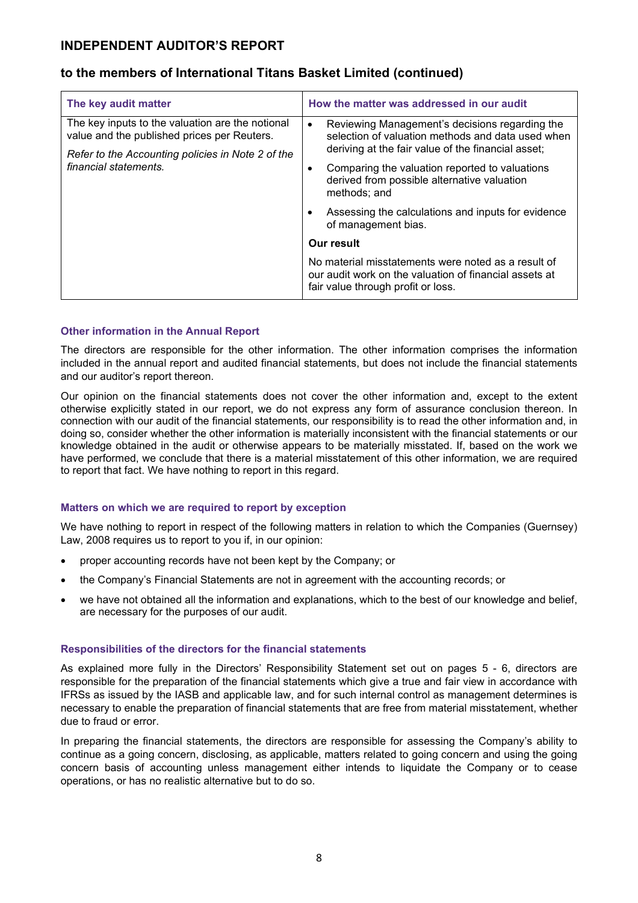# **to the members of International Titans Basket Limited (continued)**

| The key audit matter                                                                            | How the matter was addressed in our audit                                                                                                           |
|-------------------------------------------------------------------------------------------------|-----------------------------------------------------------------------------------------------------------------------------------------------------|
| The key inputs to the valuation are the notional<br>value and the published prices per Reuters. | Reviewing Management's decisions regarding the<br>$\bullet$<br>selection of valuation methods and data used when                                    |
| Refer to the Accounting policies in Note 2 of the                                               | deriving at the fair value of the financial asset;                                                                                                  |
| financial statements.                                                                           | Comparing the valuation reported to valuations<br>derived from possible alternative valuation<br>methods: and                                       |
|                                                                                                 | Assessing the calculations and inputs for evidence<br>of management bias.                                                                           |
|                                                                                                 | Our result                                                                                                                                          |
|                                                                                                 | No material misstatements were noted as a result of<br>our audit work on the valuation of financial assets at<br>fair value through profit or loss. |

#### **Other information in the Annual Report**

The directors are responsible for the other information. The other information comprises the information included in the annual report and audited financial statements, but does not include the financial statements and our auditor's report thereon.

Our opinion on the financial statements does not cover the other information and, except to the extent otherwise explicitly stated in our report, we do not express any form of assurance conclusion thereon. In connection with our audit of the financial statements, our responsibility is to read the other information and, in doing so, consider whether the other information is materially inconsistent with the financial statements or our knowledge obtained in the audit or otherwise appears to be materially misstated. If, based on the work we have performed, we conclude that there is a material misstatement of this other information, we are required to report that fact. We have nothing to report in this regard.

#### **Matters on which we are required to report by exception**

We have nothing to report in respect of the following matters in relation to which the Companies (Guernsey) Law, 2008 requires us to report to you if, in our opinion:

- proper accounting records have not been kept by the Company; or
- the Company's Financial Statements are not in agreement with the accounting records; or
- we have not obtained all the information and explanations, which to the best of our knowledge and belief, are necessary for the purposes of our audit.

#### **Responsibilities of the directors for the financial statements**

As explained more fully in the Directors' Responsibility Statement set out on pages 5 - 6, directors are responsible for the preparation of the financial statements which give a true and fair view in accordance with IFRSs as issued by the IASB and applicable law, and for such internal control as management determines is necessary to enable the preparation of financial statements that are free from material misstatement, whether due to fraud or error.

In preparing the financial statements, the directors are responsible for assessing the Company's ability to continue as a going concern, disclosing, as applicable, matters related to going concern and using the going concern basis of accounting unless management either intends to liquidate the Company or to cease operations, or has no realistic alternative but to do so.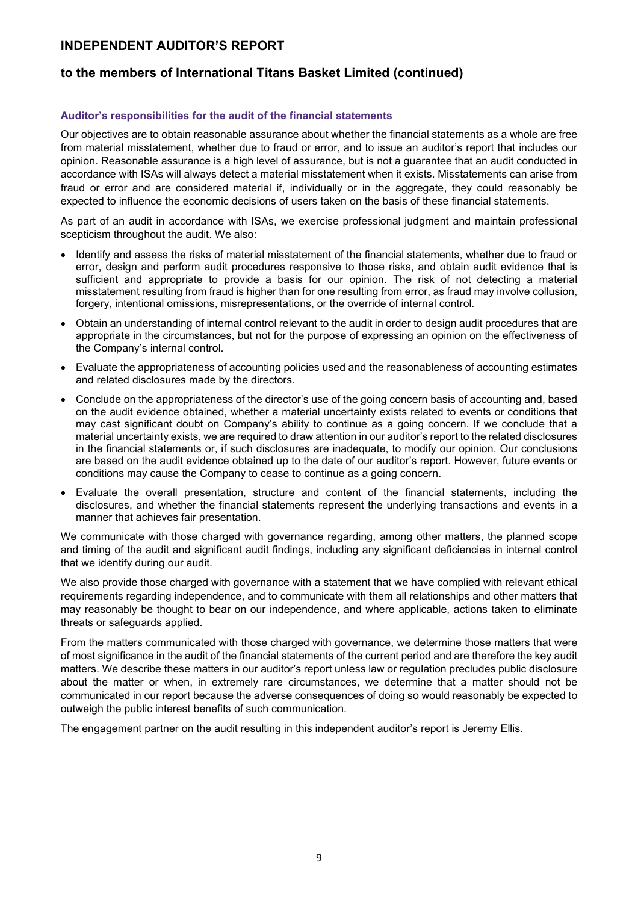# **to the members of International Titans Basket Limited (continued)**

#### **Auditor's responsibilities for the audit of the financial statements**

Our objectives are to obtain reasonable assurance about whether the financial statements as a whole are free from material misstatement, whether due to fraud or error, and to issue an auditor's report that includes our opinion. Reasonable assurance is a high level of assurance, but is not a guarantee that an audit conducted in accordance with ISAs will always detect a material misstatement when it exists. Misstatements can arise from fraud or error and are considered material if, individually or in the aggregate, they could reasonably be expected to influence the economic decisions of users taken on the basis of these financial statements.

As part of an audit in accordance with ISAs, we exercise professional judgment and maintain professional scepticism throughout the audit. We also:

- Identify and assess the risks of material misstatement of the financial statements, whether due to fraud or error, design and perform audit procedures responsive to those risks, and obtain audit evidence that is sufficient and appropriate to provide a basis for our opinion. The risk of not detecting a material misstatement resulting from fraud is higher than for one resulting from error, as fraud may involve collusion, forgery, intentional omissions, misrepresentations, or the override of internal control.
- Obtain an understanding of internal control relevant to the audit in order to design audit procedures that are appropriate in the circumstances, but not for the purpose of expressing an opinion on the effectiveness of the Company's internal control.
- Evaluate the appropriateness of accounting policies used and the reasonableness of accounting estimates and related disclosures made by the directors.
- Conclude on the appropriateness of the director's use of the going concern basis of accounting and, based on the audit evidence obtained, whether a material uncertainty exists related to events or conditions that may cast significant doubt on Company's ability to continue as a going concern. If we conclude that a material uncertainty exists, we are required to draw attention in our auditor's report to the related disclosures in the financial statements or, if such disclosures are inadequate, to modify our opinion. Our conclusions are based on the audit evidence obtained up to the date of our auditor's report. However, future events or conditions may cause the Company to cease to continue as a going concern.
- Evaluate the overall presentation, structure and content of the financial statements, including the disclosures, and whether the financial statements represent the underlying transactions and events in a manner that achieves fair presentation.

We communicate with those charged with governance regarding, among other matters, the planned scope and timing of the audit and significant audit findings, including any significant deficiencies in internal control that we identify during our audit.

We also provide those charged with governance with a statement that we have complied with relevant ethical requirements regarding independence, and to communicate with them all relationships and other matters that may reasonably be thought to bear on our independence, and where applicable, actions taken to eliminate threats or safeguards applied.

From the matters communicated with those charged with governance, we determine those matters that were of most significance in the audit of the financial statements of the current period and are therefore the key audit matters. We describe these matters in our auditor's report unless law or regulation precludes public disclosure about the matter or when, in extremely rare circumstances, we determine that a matter should not be communicated in our report because the adverse consequences of doing so would reasonably be expected to outweigh the public interest benefits of such communication.

The engagement partner on the audit resulting in this independent auditor's report is Jeremy Ellis.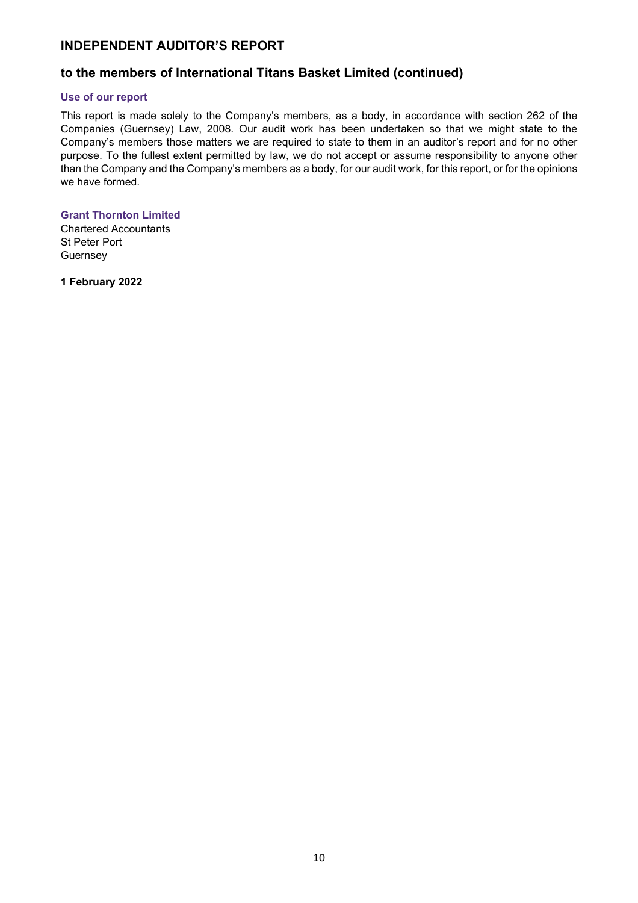# **to the members of International Titans Basket Limited (continued)**

#### **Use of our report**

This report is made solely to the Company's members, as a body, in accordance with section 262 of the Companies (Guernsey) Law, 2008. Our audit work has been undertaken so that we might state to the Company's members those matters we are required to state to them in an auditor's report and for no other purpose. To the fullest extent permitted by law, we do not accept or assume responsibility to anyone other than the Company and the Company's members as a body, for our audit work, for this report, or for the opinions we have formed.

# **Grant Thornton Limited**

Chartered Accountants St Peter Port Guernsey

**1 February 2022**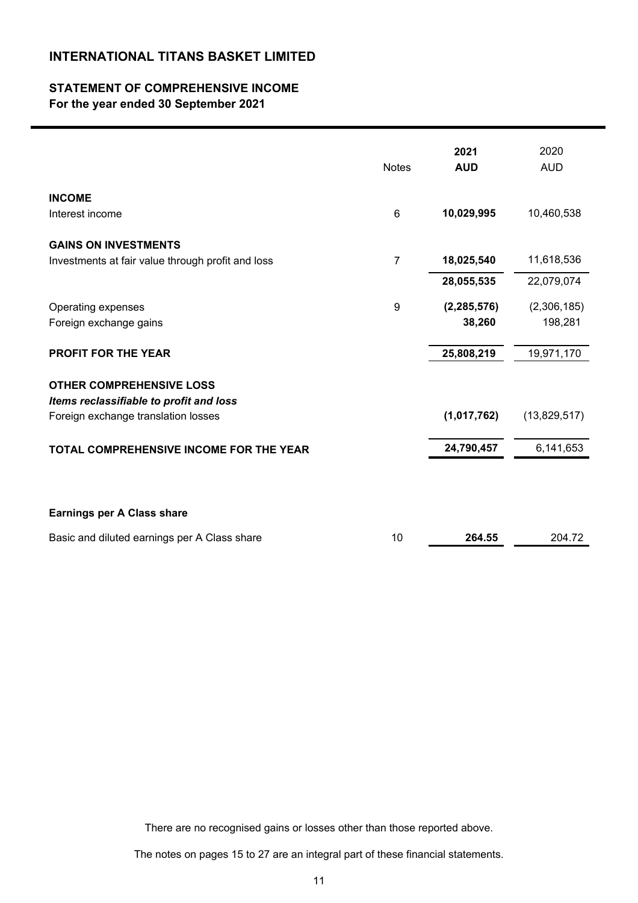# **STATEMENT OF COMPREHENSIVE INCOME For the year ended 30 September 2021**

|                                                                            | <b>Notes</b>   | 2021<br><b>AUD</b> | 2020<br><b>AUD</b> |
|----------------------------------------------------------------------------|----------------|--------------------|--------------------|
| <b>INCOME</b>                                                              |                |                    |                    |
| Interest income                                                            | 6              | 10,029,995         | 10,460,538         |
| <b>GAINS ON INVESTMENTS</b>                                                |                |                    |                    |
| Investments at fair value through profit and loss                          | $\overline{7}$ | 18,025,540         | 11,618,536         |
|                                                                            |                | 28,055,535         | 22,079,074         |
| Operating expenses                                                         | 9              | (2, 285, 576)      | (2,306,185)        |
| Foreign exchange gains                                                     |                | 38,260             | 198,281            |
| <b>PROFIT FOR THE YEAR</b>                                                 |                | 25,808,219         | 19,971,170         |
| <b>OTHER COMPREHENSIVE LOSS</b><br>Items reclassifiable to profit and loss |                |                    |                    |
| Foreign exchange translation losses                                        |                | (1,017,762)        | (13,829,517)       |
| TOTAL COMPREHENSIVE INCOME FOR THE YEAR                                    |                | 24,790,457         | 6,141,653          |
|                                                                            |                |                    |                    |
| <b>Earnings per A Class share</b>                                          |                |                    |                    |
| Basic and diluted earnings per A Class share                               | 10             | 264.55             | 204.72             |

There are no recognised gains or losses other than those reported above.

The notes on pages 15 to 27 are an integral part of these financial statements.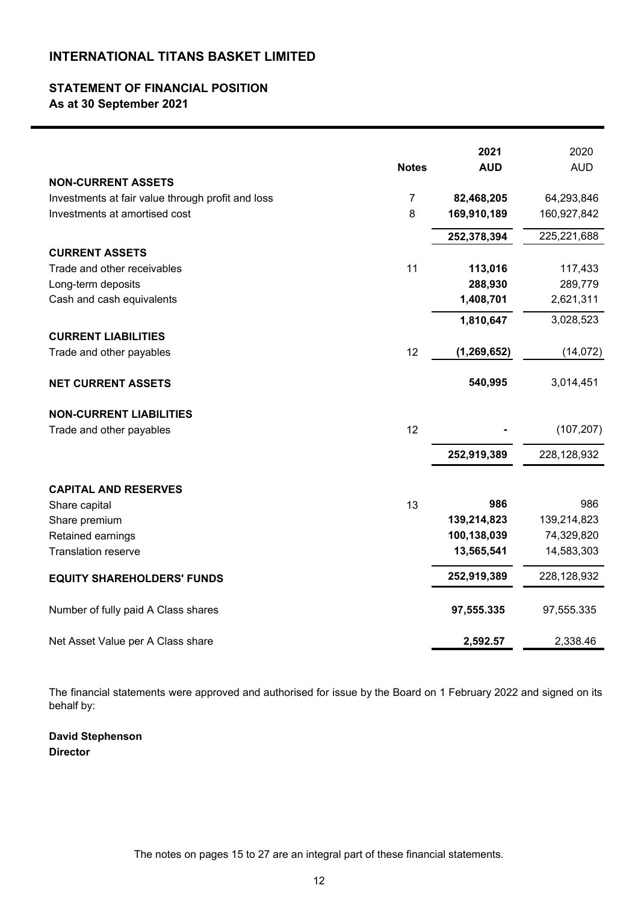## **STATEMENT OF FINANCIAL POSITION As at 30 September 2021**

|                                                   | <b>Notes</b> | 2021<br><b>AUD</b> | 2020<br><b>AUD</b> |
|---------------------------------------------------|--------------|--------------------|--------------------|
| <b>NON-CURRENT ASSETS</b>                         |              |                    |                    |
| Investments at fair value through profit and loss | 7            | 82,468,205         | 64,293,846         |
| Investments at amortised cost                     | 8            | 169,910,189        | 160,927,842        |
|                                                   |              | 252,378,394        | 225,221,688        |
| <b>CURRENT ASSETS</b>                             |              |                    |                    |
| Trade and other receivables                       | 11           | 113,016            | 117,433            |
| Long-term deposits                                |              | 288,930            | 289,779            |
| Cash and cash equivalents                         |              | 1,408,701          | 2,621,311          |
|                                                   |              | 1,810,647          | 3,028,523          |
| <b>CURRENT LIABILITIES</b>                        |              |                    |                    |
| Trade and other payables                          | 12           | (1, 269, 652)      | (14, 072)          |
| <b>NET CURRENT ASSETS</b>                         |              | 540,995            | 3,014,451          |
| <b>NON-CURRENT LIABILITIES</b>                    |              |                    |                    |
| Trade and other payables                          | 12           |                    | (107, 207)         |
|                                                   |              | 252,919,389        | 228,128,932        |
| <b>CAPITAL AND RESERVES</b>                       |              |                    |                    |
| Share capital                                     | 13           | 986                | 986                |
| Share premium                                     |              | 139,214,823        | 139,214,823        |
| Retained earnings                                 |              | 100,138,039        | 74,329,820         |
| <b>Translation reserve</b>                        |              | 13,565,541         | 14,583,303         |
| <b>EQUITY SHAREHOLDERS' FUNDS</b>                 |              | 252,919,389        | 228,128,932        |
| Number of fully paid A Class shares               |              | 97,555.335         | 97,555.335         |
| Net Asset Value per A Class share                 |              | 2,592.57           | 2,338.46           |

The financial statements were approved and authorised for issue by the Board on 1 February 2022 and signed on its behalf by:

## **David Stephenson Director**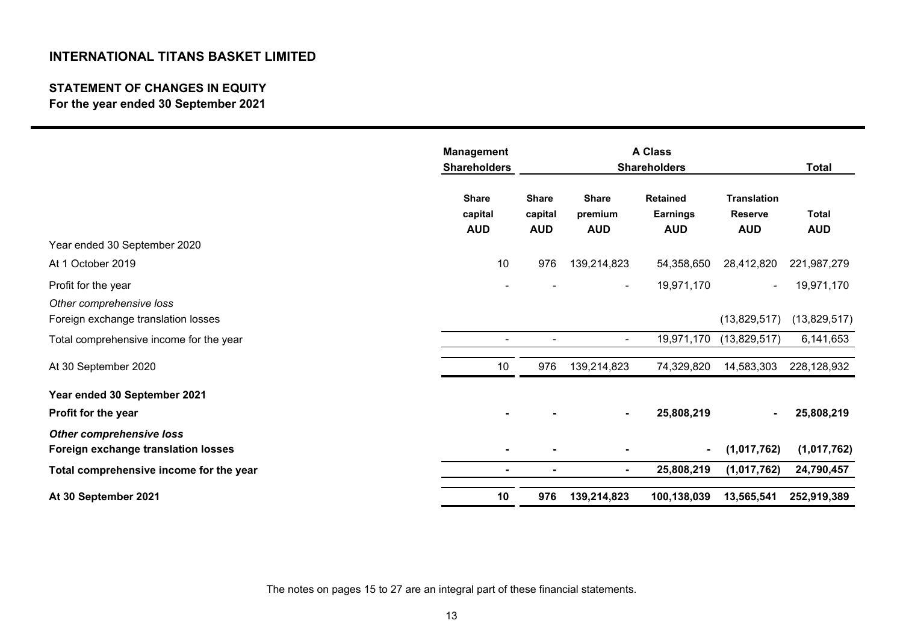# **STATEMENT OF CHANGES IN EQUITY For the year ended 30 September 2021**

|                                                                        | <b>A Class</b><br><b>Management</b><br><b>Shareholders</b><br><b>Shareholders</b> |                                       |                                       |                                                  | <b>Total</b>                                       |                            |
|------------------------------------------------------------------------|-----------------------------------------------------------------------------------|---------------------------------------|---------------------------------------|--------------------------------------------------|----------------------------------------------------|----------------------------|
|                                                                        | <b>Share</b><br>capital<br><b>AUD</b>                                             | <b>Share</b><br>capital<br><b>AUD</b> | <b>Share</b><br>premium<br><b>AUD</b> | <b>Retained</b><br><b>Earnings</b><br><b>AUD</b> | <b>Translation</b><br><b>Reserve</b><br><b>AUD</b> | <b>Total</b><br><b>AUD</b> |
| Year ended 30 September 2020                                           |                                                                                   |                                       |                                       |                                                  |                                                    |                            |
| At 1 October 2019                                                      | 10                                                                                | 976                                   | 139,214,823                           | 54,358,650                                       | 28,412,820                                         | 221,987,279                |
| Profit for the year                                                    |                                                                                   |                                       |                                       | 19,971,170                                       | $\blacksquare$                                     | 19,971,170                 |
| Other comprehensive loss<br>Foreign exchange translation losses        |                                                                                   |                                       |                                       |                                                  | (13,829,517)                                       | (13,829,517)               |
| Total comprehensive income for the year                                | $\blacksquare$                                                                    |                                       |                                       | 19,971,170                                       | (13,829,517)                                       | 6,141,653                  |
| At 30 September 2020                                                   | 10                                                                                | 976                                   | 139,214,823                           | 74,329,820                                       | 14,583,303                                         | 228,128,932                |
| Year ended 30 September 2021                                           |                                                                                   |                                       |                                       |                                                  |                                                    |                            |
| Profit for the year                                                    |                                                                                   |                                       | $\blacksquare$                        | 25,808,219                                       | $\blacksquare$                                     | 25,808,219                 |
| <b>Other comprehensive loss</b><br>Foreign exchange translation losses |                                                                                   |                                       |                                       | $\blacksquare$                                   | (1,017,762)                                        | (1,017,762)                |
| Total comprehensive income for the year                                |                                                                                   |                                       |                                       | 25,808,219                                       | (1,017,762)                                        | 24,790,457                 |
| At 30 September 2021                                                   | 10                                                                                | 976                                   | 139,214,823                           | 100,138,039                                      | 13,565,541                                         | 252,919,389                |

The notes on pages 15 to 27 are an integral part of these financial statements.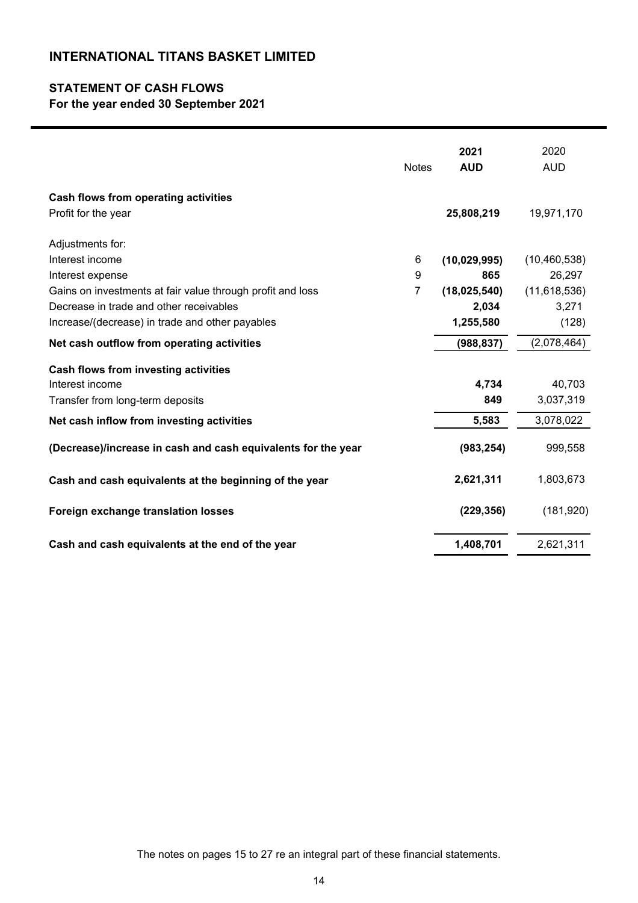# **STATEMENT OF CASH FLOWS**

**For the year ended 30 September 2021**

|                                                               | <b>Notes</b>   | 2021<br><b>AUD</b> | 2020<br><b>AUD</b> |
|---------------------------------------------------------------|----------------|--------------------|--------------------|
| <b>Cash flows from operating activities</b>                   |                |                    |                    |
| Profit for the year                                           |                | 25,808,219         | 19,971,170         |
| Adjustments for:                                              |                |                    |                    |
| Interest income                                               | 6              | (10,029,995)       | (10, 460, 538)     |
| Interest expense                                              | 9              | 865                | 26,297             |
| Gains on investments at fair value through profit and loss    | $\overline{7}$ | (18,025,540)       | (11,618,536)       |
| Decrease in trade and other receivables                       |                | 2,034              | 3,271              |
| Increase/(decrease) in trade and other payables               |                | 1,255,580          | (128)              |
| Net cash outflow from operating activities                    |                | (988, 837)         | (2,078,464)        |
| Cash flows from investing activities                          |                |                    |                    |
| Interest income                                               |                | 4,734              | 40,703             |
| Transfer from long-term deposits                              |                | 849                | 3,037,319          |
| Net cash inflow from investing activities                     |                | 5,583              | 3,078,022          |
| (Decrease)/increase in cash and cash equivalents for the year |                | (983, 254)         | 999,558            |
| Cash and cash equivalents at the beginning of the year        |                | 2,621,311          | 1,803,673          |
| Foreign exchange translation losses                           |                | (229, 356)         | (181,920)          |
| Cash and cash equivalents at the end of the year              |                | 1,408,701          | 2,621,311          |

The notes on pages 15 to 27 re an integral part of these financial statements.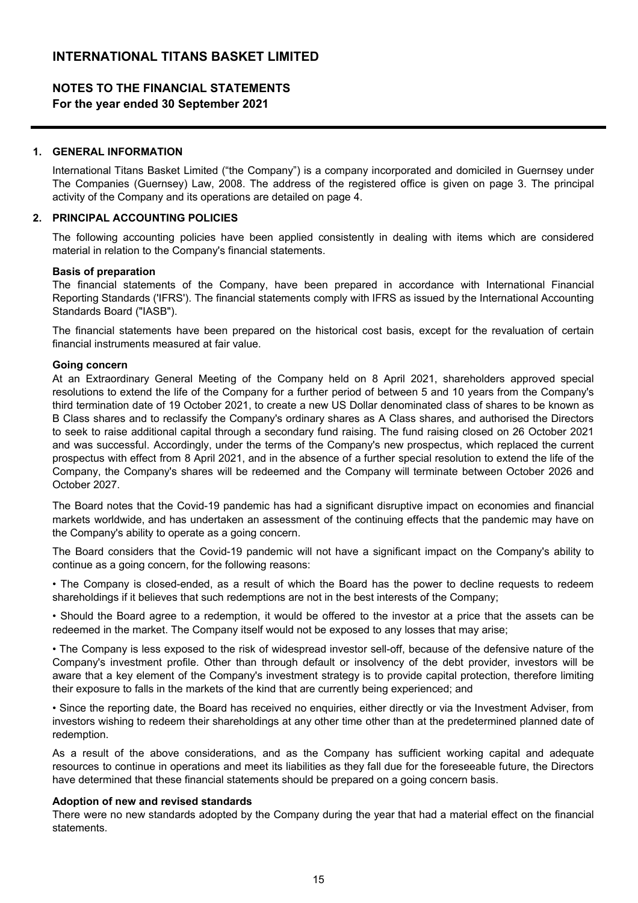# **NOTES TO THE FINANCIAL STATEMENTS For the year ended 30 September 2021**

#### **1. GENERAL INFORMATION**

International Titans Basket Limited ("the Company") is a company incorporated and domiciled in Guernsey under The Companies (Guernsey) Law, 2008. The address of the registered office is given on page 3. The principal activity of the Company and its operations are detailed on page 4.

#### **2. PRINCIPAL ACCOUNTING POLICIES**

The following accounting policies have been applied consistently in dealing with items which are considered material in relation to the Company's financial statements.

#### **Basis of preparation**

The financial statements of the Company, have been prepared in accordance with International Financial Reporting Standards ('IFRS'). The financial statements comply with IFRS as issued by the International Accounting Standards Board ("IASB").

The financial statements have been prepared on the historical cost basis, except for the revaluation of certain financial instruments measured at fair value.

#### **Going concern**

At an Extraordinary General Meeting of the Company held on 8 April 2021, shareholders approved special resolutions to extend the life of the Company for a further period of between 5 and 10 years from the Company's third termination date of 19 October 2021, to create a new US Dollar denominated class of shares to be known as B Class shares and to reclassify the Company's ordinary shares as A Class shares, and authorised the Directors to seek to raise additional capital through a secondary fund raising. The fund raising closed on 26 October 2021 and was successful. Accordingly, under the terms of the Company's new prospectus, which replaced the current prospectus with effect from 8 April 2021, and in the absence of a further special resolution to extend the life of the Company, the Company's shares will be redeemed and the Company will terminate between October 2026 and October 2027.

The Board notes that the Covid-19 pandemic has had a significant disruptive impact on economies and financial markets worldwide, and has undertaken an assessment of the continuing effects that the pandemic may have on the Company's ability to operate as a going concern.

The Board considers that the Covid-19 pandemic will not have a significant impact on the Company's ability to continue as a going concern, for the following reasons:

• The Company is closed-ended, as a result of which the Board has the power to decline requests to redeem shareholdings if it believes that such redemptions are not in the best interests of the Company;

• Should the Board agree to a redemption, it would be offered to the investor at a price that the assets can be redeemed in the market. The Company itself would not be exposed to any losses that may arise;

• The Company is less exposed to the risk of widespread investor sell-off, because of the defensive nature of the Company's investment profile. Other than through default or insolvency of the debt provider, investors will be aware that a key element of the Company's investment strategy is to provide capital protection, therefore limiting their exposure to falls in the markets of the kind that are currently being experienced; and

• Since the reporting date, the Board has received no enquiries, either directly or via the Investment Adviser, from investors wishing to redeem their shareholdings at any other time other than at the predetermined planned date of redemption.

As a result of the above considerations, and as the Company has sufficient working capital and adequate resources to continue in operations and meet its liabilities as they fall due for the foreseeable future, the Directors have determined that these financial statements should be prepared on a going concern basis.

#### **Adoption of new and revised standards**

There were no new standards adopted by the Company during the year that had a material effect on the financial statements.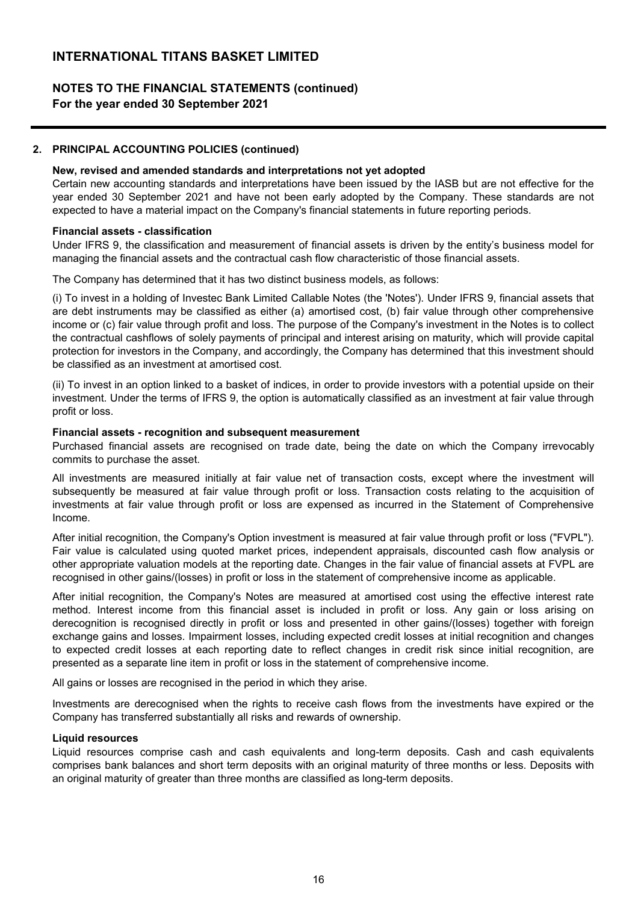## **NOTES TO THE FINANCIAL STATEMENTS (continued) For the year ended 30 September 2021**

#### **2. PRINCIPAL ACCOUNTING POLICIES (continued)**

#### **New, revised and amended standards and interpretations not yet adopted**

Certain new accounting standards and interpretations have been issued by the IASB but are not effective for the year ended 30 September 2021 and have not been early adopted by the Company. These standards are not expected to have a material impact on the Company's financial statements in future reporting periods.

#### **Financial assets - classification**

Under IFRS 9, the classification and measurement of financial assets is driven by the entity's business model for managing the financial assets and the contractual cash flow characteristic of those financial assets.

The Company has determined that it has two distinct business models, as follows:

(i) To invest in a holding of Investec Bank Limited Callable Notes (the 'Notes'). Under IFRS 9, financial assets that are debt instruments may be classified as either (a) amortised cost, (b) fair value through other comprehensive income or (c) fair value through profit and loss. The purpose of the Company's investment in the Notes is to collect the contractual cashflows of solely payments of principal and interest arising on maturity, which will provide capital protection for investors in the Company, and accordingly, the Company has determined that this investment should be classified as an investment at amortised cost.

(ii) To invest in an option linked to a basket of indices, in order to provide investors with a potential upside on their investment. Under the terms of IFRS 9, the option is automatically classified as an investment at fair value through profit or loss.

#### **Financial assets - recognition and subsequent measurement**

Purchased financial assets are recognised on trade date, being the date on which the Company irrevocably commits to purchase the asset.

All investments are measured initially at fair value net of transaction costs, except where the investment will subsequently be measured at fair value through profit or loss. Transaction costs relating to the acquisition of investments at fair value through profit or loss are expensed as incurred in the Statement of Comprehensive Income.

After initial recognition, the Company's Option investment is measured at fair value through profit or loss ("FVPL"). Fair value is calculated using quoted market prices, independent appraisals, discounted cash flow analysis or other appropriate valuation models at the reporting date. Changes in the fair value of financial assets at FVPL are recognised in other gains/(losses) in profit or loss in the statement of comprehensive income as applicable.

After initial recognition, the Company's Notes are measured at amortised cost using the effective interest rate method. Interest income from this financial asset is included in profit or loss. Any gain or loss arising on derecognition is recognised directly in profit or loss and presented in other gains/(losses) together with foreign exchange gains and losses. Impairment losses, including expected credit losses at initial recognition and changes to expected credit losses at each reporting date to reflect changes in credit risk since initial recognition, are presented as a separate line item in profit or loss in the statement of comprehensive income.

All gains or losses are recognised in the period in which they arise.

Investments are derecognised when the rights to receive cash flows from the investments have expired or the Company has transferred substantially all risks and rewards of ownership.

#### **Liquid resources**

Liquid resources comprise cash and cash equivalents and long-term deposits. Cash and cash equivalents comprises bank balances and short term deposits with an original maturity of three months or less. Deposits with an original maturity of greater than three months are classified as long-term deposits.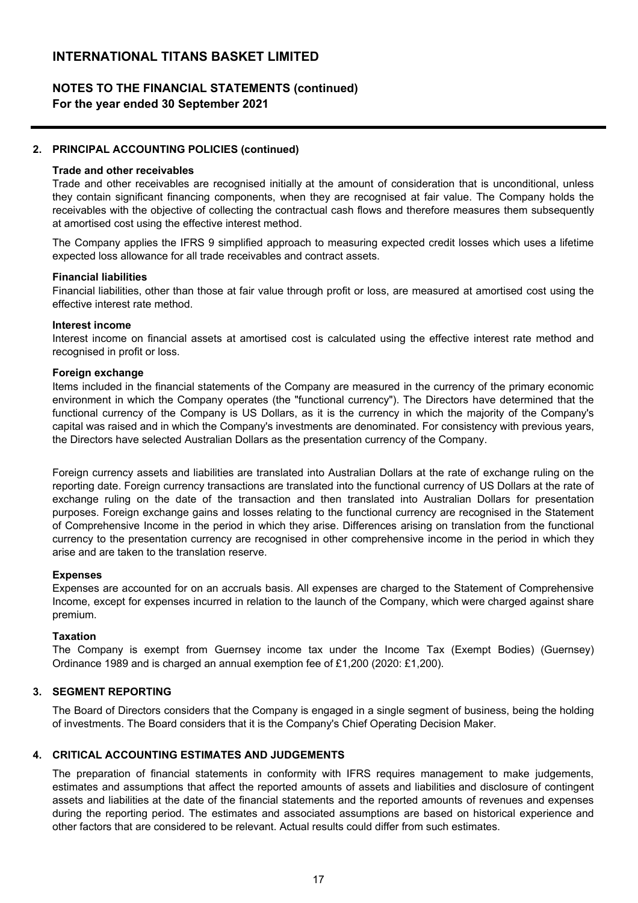## **NOTES TO THE FINANCIAL STATEMENTS (continued) For the year ended 30 September 2021**

#### **2. PRINCIPAL ACCOUNTING POLICIES (continued)**

#### **Trade and other receivables**

Trade and other receivables are recognised initially at the amount of consideration that is unconditional, unless they contain significant financing components, when they are recognised at fair value. The Company holds the receivables with the objective of collecting the contractual cash flows and therefore measures them subsequently at amortised cost using the effective interest method.

The Company applies the IFRS 9 simplified approach to measuring expected credit losses which uses a lifetime expected loss allowance for all trade receivables and contract assets.

#### **Financial liabilities**

Financial liabilities, other than those at fair value through profit or loss, are measured at amortised cost using the effective interest rate method.

#### **Interest income**

Interest income on financial assets at amortised cost is calculated using the effective interest rate method and recognised in profit or loss.

#### **Foreign exchange**

Items included in the financial statements of the Company are measured in the currency of the primary economic environment in which the Company operates (the "functional currency"). The Directors have determined that the functional currency of the Company is US Dollars, as it is the currency in which the majority of the Company's capital was raised and in which the Company's investments are denominated. For consistency with previous years, the Directors have selected Australian Dollars as the presentation currency of the Company.

Foreign currency assets and liabilities are translated into Australian Dollars at the rate of exchange ruling on the reporting date. Foreign currency transactions are translated into the functional currency of US Dollars at the rate of exchange ruling on the date of the transaction and then translated into Australian Dollars for presentation purposes. Foreign exchange gains and losses relating to the functional currency are recognised in the Statement of Comprehensive Income in the period in which they arise. Differences arising on translation from the functional currency to the presentation currency are recognised in other comprehensive income in the period in which they arise and are taken to the translation reserve.

#### **Expenses**

Expenses are accounted for on an accruals basis. All expenses are charged to the Statement of Comprehensive Income, except for expenses incurred in relation to the launch of the Company, which were charged against share premium.

#### **Taxation**

The Company is exempt from Guernsey income tax under the Income Tax (Exempt Bodies) (Guernsey) Ordinance 1989 and is charged an annual exemption fee of £1,200 (2020: £1,200).

#### **3. SEGMENT REPORTING**

The Board of Directors considers that the Company is engaged in a single segment of business, being the holding of investments. The Board considers that it is the Company's Chief Operating Decision Maker.

#### **4. CRITICAL ACCOUNTING ESTIMATES AND JUDGEMENTS**

The preparation of financial statements in conformity with IFRS requires management to make judgements, estimates and assumptions that affect the reported amounts of assets and liabilities and disclosure of contingent assets and liabilities at the date of the financial statements and the reported amounts of revenues and expenses during the reporting period. The estimates and associated assumptions are based on historical experience and other factors that are considered to be relevant. Actual results could differ from such estimates.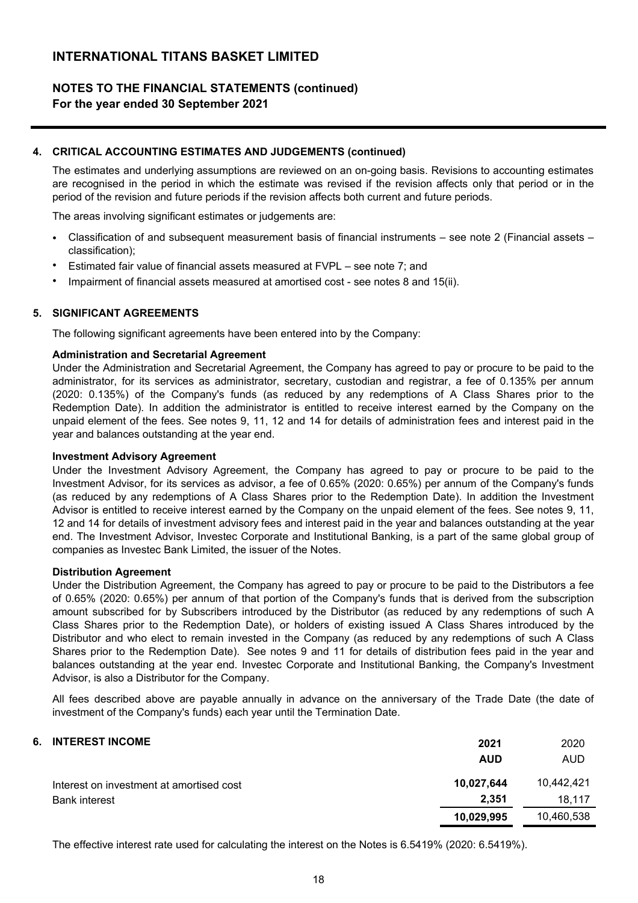## **NOTES TO THE FINANCIAL STATEMENTS (continued) For the year ended 30 September 2021**

### **4. CRITICAL ACCOUNTING ESTIMATES AND JUDGEMENTS (continued)**

The estimates and underlying assumptions are reviewed on an on-going basis. Revisions to accounting estimates are recognised in the period in which the estimate was revised if the revision affects only that period or in the period of the revision and future periods if the revision affects both current and future periods.

The areas involving significant estimates or judgements are:

- Classification of and subsequent measurement basis of financial instruments see note 2 (Financial assets classification);
- Estimated fair value of financial assets measured at FVPL see note 7; and
- Impairment of financial assets measured at amortised cost see notes 8 and 15(ii).

#### **5. SIGNIFICANT AGREEMENTS**

The following significant agreements have been entered into by the Company:

#### **Administration and Secretarial Agreement**

Under the Administration and Secretarial Agreement, the Company has agreed to pay or procure to be paid to the administrator, for its services as administrator, secretary, custodian and registrar, a fee of 0.135% per annum (2020: 0.135%) of the Company's funds (as reduced by any redemptions of A Class Shares prior to the Redemption Date). In addition the administrator is entitled to receive interest earned by the Company on the unpaid element of the fees. See notes 9, 11, 12 and 14 for details of administration fees and interest paid in the year and balances outstanding at the year end.

#### **Investment Advisory Agreement**

Under the Investment Advisory Agreement, the Company has agreed to pay or procure to be paid to the Investment Advisor, for its services as advisor, a fee of 0.65% (2020: 0.65%) per annum of the Company's funds (as reduced by any redemptions of A Class Shares prior to the Redemption Date). In addition the Investment Advisor is entitled to receive interest earned by the Company on the unpaid element of the fees. See notes 9, 11, 12 and 14 for details of investment advisory fees and interest paid in the year and balances outstanding at the year end. The Investment Advisor, Investec Corporate and Institutional Banking, is a part of the same global group of companies as Investec Bank Limited, the issuer of the Notes.

#### **Distribution Agreement**

Under the Distribution Agreement, the Company has agreed to pay or procure to be paid to the Distributors a fee of 0.65% (2020: 0.65%) per annum of that portion of the Company's funds that is derived from the subscription amount subscribed for by Subscribers introduced by the Distributor (as reduced by any redemptions of such A Class Shares prior to the Redemption Date), or holders of existing issued A Class Shares introduced by the Distributor and who elect to remain invested in the Company (as reduced by any redemptions of such A Class Shares prior to the Redemption Date). See notes 9 and 11 for details of distribution fees paid in the year and balances outstanding at the year end. Investec Corporate and Institutional Banking, the Company's Investment Advisor, is also a Distributor for the Company.

All fees described above are payable annually in advance on the anniversary of the Trade Date (the date of investment of the Company's funds) each year until the Termination Date.

#### **6. INTEREST INCOME 2021** 2020

|                                          | <b>AUD</b> | <b>AUD</b> |
|------------------------------------------|------------|------------|
| Interest on investment at amortised cost | 10,027,644 | 10,442,421 |
| Bank interest                            | 2,351      | 18,117     |
|                                          | 10,029,995 | 10,460,538 |

The effective interest rate used for calculating the interest on the Notes is 6.5419% (2020: 6.5419%).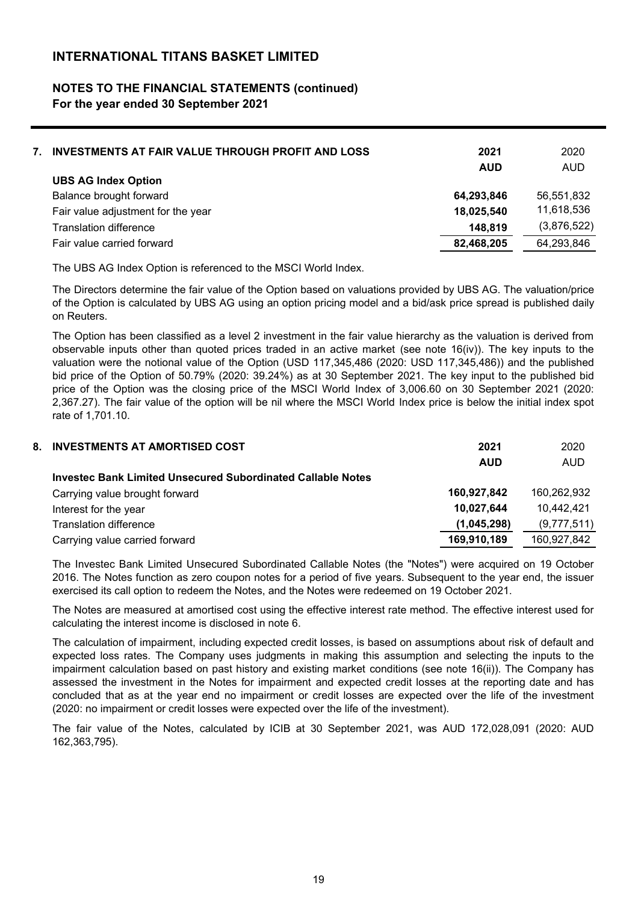# **NOTES TO THE FINANCIAL STATEMENTS (continued) For the year ended 30 September 2021**

| 7 | <b>INVESTMENTS AT FAIR VALUE THROUGH PROFIT AND LOSS</b> | 2021<br><b>AUD</b> | 2020<br><b>AUD</b> |
|---|----------------------------------------------------------|--------------------|--------------------|
|   | <b>UBS AG Index Option</b>                               |                    |                    |
|   | Balance brought forward                                  | 64,293,846         | 56.551.832         |
|   | Fair value adjustment for the year                       | 18,025,540         | 11,618,536         |
|   | <b>Translation difference</b>                            | 148,819            | (3,876,522)        |
|   | Fair value carried forward                               | 82,468,205         | 64,293,846         |
|   |                                                          |                    |                    |

The UBS AG Index Option is referenced to the MSCI World Index.

The Directors determine the fair value of the Option based on valuations provided by UBS AG. The valuation/price of the Option is calculated by UBS AG using an option pricing model and a bid/ask price spread is published daily on Reuters.

The Option has been classified as a level 2 investment in the fair value hierarchy as the valuation is derived from observable inputs other than quoted prices traded in an active market (see note 16(iv)). The key inputs to the valuation were the notional value of the Option (USD 117,345,486 (2020: USD 117,345,486)) and the published bid price of the Option of 50.79% (2020: 39.24%) as at 30 September 2021. The key input to the published bid price of the Option was the closing price of the MSCI World Index of 3,006.60 on 30 September 2021 (2020: 2,367.27). The fair value of the option will be nil where the MSCI World Index price is below the initial index spot rate of 1,701.10.

| 8. INVESTMENTS AT AMORTISED COST                                   | 2021        | 2020        |
|--------------------------------------------------------------------|-------------|-------------|
|                                                                    | <b>AUD</b>  | <b>AUD</b>  |
| <b>Investec Bank Limited Unsecured Subordinated Callable Notes</b> |             |             |
| Carrying value brought forward                                     | 160,927,842 | 160.262.932 |
| Interest for the year                                              | 10,027,644  | 10.442.421  |
| <b>Translation difference</b>                                      | (1,045,298) | (9,777,511) |
| Carrying value carried forward                                     | 169,910,189 | 160,927,842 |
|                                                                    |             |             |

The Investec Bank Limited Unsecured Subordinated Callable Notes (the "Notes") were acquired on 19 October 2016. The Notes function as zero coupon notes for a period of five years. Subsequent to the year end, the issuer exercised its call option to redeem the Notes, and the Notes were redeemed on 19 October 2021.

The Notes are measured at amortised cost using the effective interest rate method. The effective interest used for calculating the interest income is disclosed in note 6.

The calculation of impairment, including expected credit losses, is based on assumptions about risk of default and expected loss rates. The Company uses judgments in making this assumption and selecting the inputs to the impairment calculation based on past history and existing market conditions (see note 16(ii)). The Company has assessed the investment in the Notes for impairment and expected credit losses at the reporting date and has concluded that as at the year end no impairment or credit losses are expected over the life of the investment (2020: no impairment or credit losses were expected over the life of the investment).

The fair value of the Notes, calculated by ICIB at 30 September 2021, was AUD 172,028,091 (2020: AUD 162,363,795).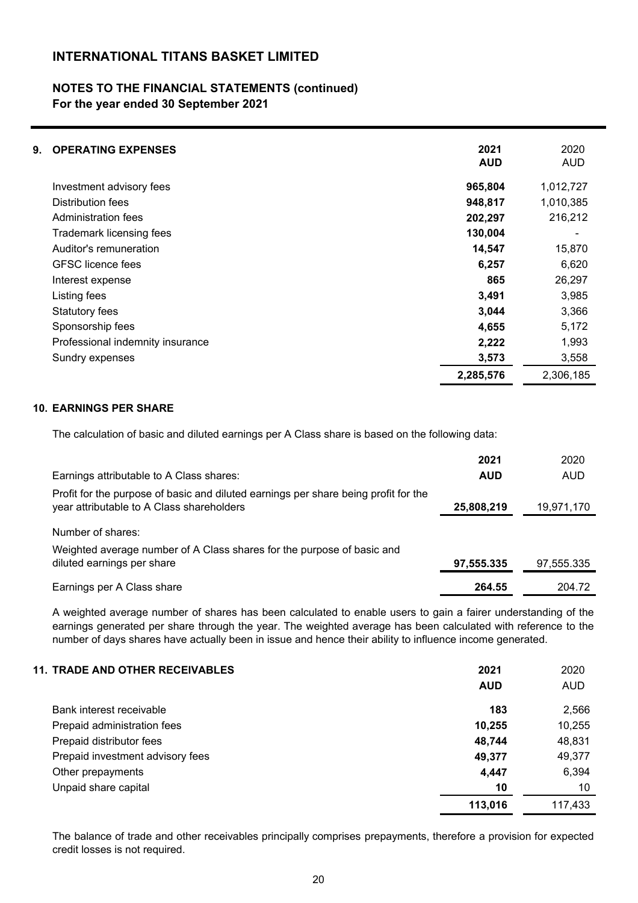# **NOTES TO THE FINANCIAL STATEMENTS (continued) For the year ended 30 September 2021**

| 9. | <b>OPERATING EXPENSES</b>        | 2021       | 2020       |
|----|----------------------------------|------------|------------|
|    |                                  | <b>AUD</b> | <b>AUD</b> |
|    | Investment advisory fees         | 965,804    | 1,012,727  |
|    | Distribution fees                | 948,817    | 1,010,385  |
|    | Administration fees              | 202,297    | 216,212    |
|    | <b>Trademark licensing fees</b>  | 130,004    |            |
|    | Auditor's remuneration           | 14,547     | 15,870     |
|    | <b>GFSC</b> licence fees         | 6,257      | 6,620      |
|    | Interest expense                 | 865        | 26,297     |
|    | Listing fees                     | 3,491      | 3,985      |
|    | Statutory fees                   | 3,044      | 3,366      |
|    | Sponsorship fees                 | 4,655      | 5,172      |
|    | Professional indemnity insurance | 2,222      | 1,993      |
|    | Sundry expenses                  | 3,573      | 3,558      |
|    |                                  | 2,285,576  | 2,306,185  |

## **10. EARNINGS PER SHARE**

The calculation of basic and diluted earnings per A Class share is based on the following data:

|                                                                                                                                  | 2021       | 2020       |
|----------------------------------------------------------------------------------------------------------------------------------|------------|------------|
| Earnings attributable to A Class shares:                                                                                         | <b>AUD</b> | <b>AUD</b> |
| Profit for the purpose of basic and diluted earnings per share being profit for the<br>year attributable to A Class shareholders | 25,808,219 | 19,971,170 |
| Number of shares:                                                                                                                |            |            |
| Weighted average number of A Class shares for the purpose of basic and<br>diluted earnings per share                             | 97,555.335 | 97,555.335 |
| Earnings per A Class share                                                                                                       | 264.55     | 204.72     |

A weighted average number of shares has been calculated to enable users to gain a fairer understanding of the earnings generated per share through the year. The weighted average has been calculated with reference to the number of days shares have actually been in issue and hence their ability to influence income generated.

| <b>11. TRADE AND OTHER RECEIVABLES</b> | 2021       | 2020       |
|----------------------------------------|------------|------------|
|                                        | <b>AUD</b> | <b>AUD</b> |
| Bank interest receivable               | 183        | 2,566      |
| Prepaid administration fees            | 10,255     | 10,255     |
| Prepaid distributor fees               | 48,744     | 48,831     |
| Prepaid investment advisory fees       | 49,377     | 49,377     |
| Other prepayments                      | 4,447      | 6,394      |
| Unpaid share capital                   | 10         | 10         |
|                                        | 113,016    | 117.433    |

The balance of trade and other receivables principally comprises prepayments, therefore a provision for expected credit losses is not required.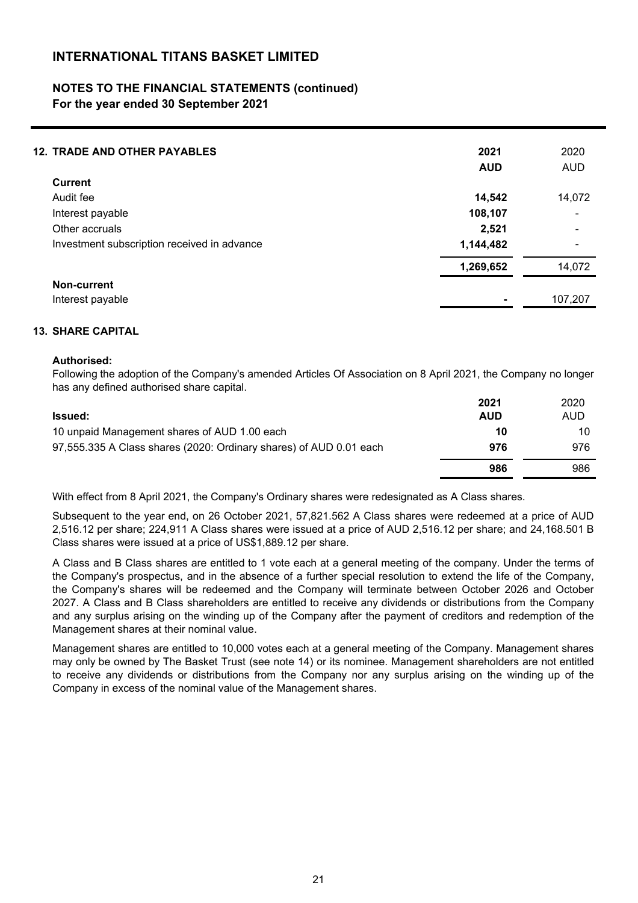## **NOTES TO THE FINANCIAL STATEMENTS (continued) For the year ended 30 September 2021**

| <b>12. TRADE AND OTHER PAYABLES</b>         | 2021       | 2020       |
|---------------------------------------------|------------|------------|
|                                             | <b>AUD</b> | <b>AUD</b> |
| <b>Current</b>                              |            |            |
| Audit fee                                   | 14,542     | 14,072     |
| Interest payable                            | 108,107    |            |
| Other accruals                              | 2,521      |            |
| Investment subscription received in advance | 1,144,482  |            |
|                                             | 1,269,652  | 14,072     |
| Non-current                                 |            |            |
| Interest payable                            |            | 107,207    |
|                                             |            |            |

### **13. SHARE CAPITAL**

#### **Authorised:**

Following the adoption of the Company's amended Articles Of Association on 8 April 2021, the Company no longer has any defined authorised share capital.

|                                                                    | 2021       | 2020 |
|--------------------------------------------------------------------|------------|------|
| Issued:                                                            | <b>AUD</b> | AUD  |
| 10 unpaid Management shares of AUD 1.00 each                       | 10         | 10   |
| 97,555.335 A Class shares (2020: Ordinary shares) of AUD 0.01 each | 976        | 976  |
|                                                                    | 986        | 986  |

With effect from 8 April 2021, the Company's Ordinary shares were redesignated as A Class shares.

Subsequent to the year end, on 26 October 2021, 57,821.562 A Class shares were redeemed at a price of AUD 2,516.12 per share; 224,911 A Class shares were issued at a price of AUD 2,516.12 per share; and 24,168.501 B Class shares were issued at a price of US\$1,889.12 per share.

A Class and B Class shares are entitled to 1 vote each at a general meeting of the company. Under the terms of the Company's prospectus, and in the absence of a further special resolution to extend the life of the Company, the Company's shares will be redeemed and the Company will terminate between October 2026 and October 2027. A Class and B Class shareholders are entitled to receive any dividends or distributions from the Company and any surplus arising on the winding up of the Company after the payment of creditors and redemption of the Management shares at their nominal value.

Management shares are entitled to 10,000 votes each at a general meeting of the Company. Management shares may only be owned by The Basket Trust (see note 14) or its nominee. Management shareholders are not entitled to receive any dividends or distributions from the Company nor any surplus arising on the winding up of the Company in excess of the nominal value of the Management shares.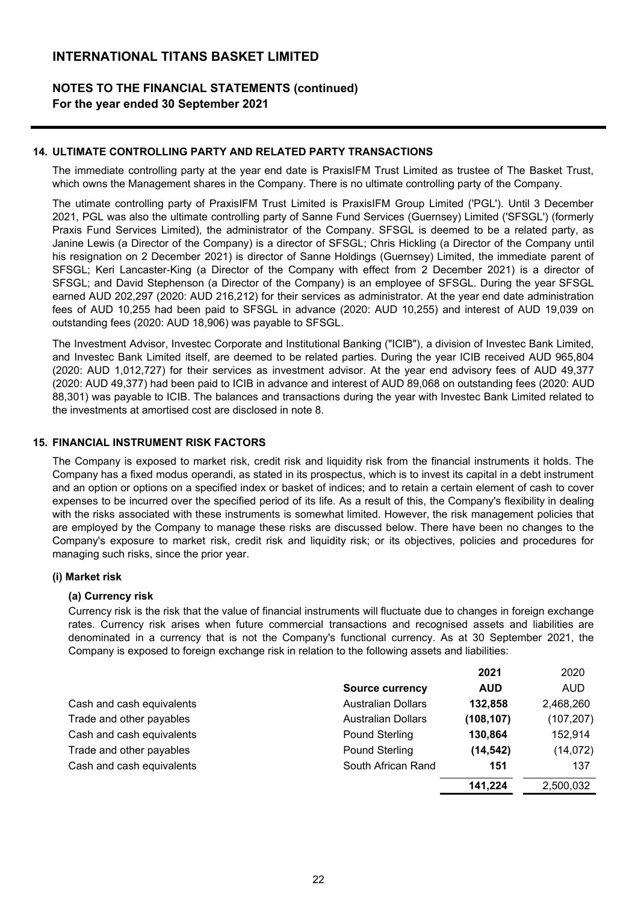### **NOTES TO THE FINANCIAL STATEMENTS (continued) For the year ended 30 September 2021**

#### **14. ULTIMATE CONTROLLING PARTY AND RELATED PARTY TRANSACTIONS**

The immediate controlling party at the year end date is PraxisIFM Trust Limited as trustee of The Basket Trust, which owns the Management shares in the Company. There is no ultimate controlling party of the Company.

The utimate controlling party of PraxisIFM Trust Limited is PraxisIFM Group Limited ('PGL'). Until 3 December 2021, PGL was also the ultimate controlling party of Sanne Fund Services (Guernsey) Limited ('SFSGL') (formerly Praxis Fund Services Limited), the administrator of the Company. SFSGL is deemed to be a related party, as Janine Lewis (a Director of the Company) is a director of SFSGL; Chris Hickling (a Director of the Company until his resignation on 2 December 2021) is director of Sanne Holdings (Guernsey) Limited, the immediate parent of SFSGL; Keri Lancaster-King (a Director of the Company with effect from 2 December 2021) is a director of SFSGL; and David Stephenson (a Director of the Company) is an employee of SFSGL. During the year SFSGL earned AUD 202,297 (2020: AUD 216,212) for their services as administrator. At the year end date administration fees of AUD 10,255 had been paid to SFSGL in advance (2020: AUD 10,255) and interest of AUD 19,039 on outstanding fees (2020: AUD 18,906) was payable to SFSGL.

The Investment Advisor, Investec Corporate and Institutional Banking ("ICIB"), a division of Investec Bank Limited, and Investec Bank Limited itself, are deemed to be related parties. During the year ICIB received AUD 965,804 (2020: AUD 1,012,727) for their services as investment advisor. At the year end advisory fees of AUD 49,377 (2020: AUD 49,377) had been paid to ICIB in advance and interest of AUD 89,068 on outstanding fees (2020: AUD 88,301) was payable to ICIB. The balances and transactions during the year with Investec Bank Limited related to the investments at amortised cost are disclosed in note 8.

#### **15. FINANCIAL INSTRUMENT RISK FACTORS**

The Company is exposed to market risk, credit risk and liquidity risk from the financial instruments it holds. The Company has a fixed modus operandi, as stated in its prospectus, which is to invest its capital in a debt instrument and an option or options on a specified index or basket of indices; and to retain a certain element of cash to cover expenses to be incurred over the specified period of its life. As a result of this, the Company's flexibility in dealing with the risks associated with these instruments is somewhat limited. However, the risk management policies that are employed by the Company to manage these risks are discussed below. There have been no changes to the Company's exposure to market risk, credit risk and liquidity risk; or its objectives, policies and procedures for managing such risks, since the prior year.

#### **(i) Market risk**

#### **(a) Currency risk**

Currency risk is the risk that the value of financial instruments will fluctuate due to changes in foreign exchange rates. Currency risk arises when future commercial transactions and recognised assets and liabilities are denominated in a currency that is not the Company's functional currency. As at 30 September 2021, the Company is exposed to foreign exchange risk in relation to the following assets and liabilities:

|                           |                           | 2021       | 2020       |
|---------------------------|---------------------------|------------|------------|
|                           | <b>Source currency</b>    | <b>AUD</b> | AUD        |
| Cash and cash equivalents | <b>Australian Dollars</b> | 132,858    | 2,468,260  |
| Trade and other payables  | <b>Australian Dollars</b> | (108, 107) | (107, 207) |
| Cash and cash equivalents | <b>Pound Sterling</b>     | 130,864    | 152,914    |
| Trade and other payables  | <b>Pound Sterling</b>     | (14, 542)  | (14, 072)  |
| Cash and cash equivalents | South African Rand        | 151        | 137        |
|                           |                           | 141,224    | 2,500,032  |
|                           |                           |            |            |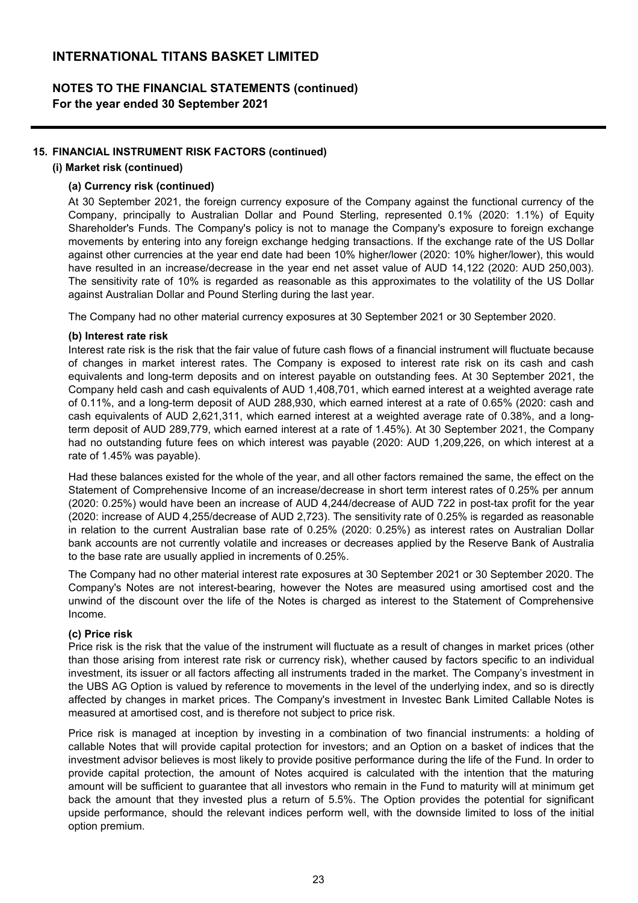# **NOTES TO THE FINANCIAL STATEMENTS (continued) For the year ended 30 September 2021**

## **15. FINANCIAL INSTRUMENT RISK FACTORS (continued)**

#### **(i) Market risk (continued)**

#### **(a) Currency risk (continued)**

At 30 September 2021, the foreign currency exposure of the Company against the functional currency of the Company, principally to Australian Dollar and Pound Sterling, represented 0.1% (2020: 1.1%) of Equity Shareholder's Funds. The Company's policy is not to manage the Company's exposure to foreign exchange movements by entering into any foreign exchange hedging transactions. If the exchange rate of the US Dollar against other currencies at the year end date had been 10% higher/lower (2020: 10% higher/lower), this would have resulted in an increase/decrease in the year end net asset value of AUD 14,122 (2020: AUD 250,003). The sensitivity rate of 10% is regarded as reasonable as this approximates to the volatility of the US Dollar against Australian Dollar and Pound Sterling during the last year.

The Company had no other material currency exposures at 30 September 2021 or 30 September 2020.

#### **(b) Interest rate risk**

Interest rate risk is the risk that the fair value of future cash flows of a financial instrument will fluctuate because of changes in market interest rates. The Company is exposed to interest rate risk on its cash and cash equivalents and long-term deposits and on interest payable on outstanding fees. At 30 September 2021, the Company held cash and cash equivalents of AUD 1,408,701, which earned interest at a weighted average rate of 0.11%, and a long-term deposit of AUD 288,930, which earned interest at a rate of 0.65% (2020: cash and cash equivalents of AUD 2,621,311, which earned interest at a weighted average rate of 0.38%, and a longterm deposit of AUD 289,779, which earned interest at a rate of 1.45%). At 30 September 2021, the Company had no outstanding future fees on which interest was payable (2020: AUD 1,209,226, on which interest at a rate of 1.45% was payable).

Had these balances existed for the whole of the year, and all other factors remained the same, the effect on the Statement of Comprehensive Income of an increase/decrease in short term interest rates of 0.25% per annum (2020: 0.25%) would have been an increase of AUD 4,244/decrease of AUD 722 in post-tax profit for the year (2020: increase of AUD 4,255/decrease of AUD 2,723). The sensitivity rate of 0.25% is regarded as reasonable in relation to the current Australian base rate of 0.25% (2020: 0.25%) as interest rates on Australian Dollar bank accounts are not currently volatile and increases or decreases applied by the Reserve Bank of Australia to the base rate are usually applied in increments of 0.25%.

The Company had no other material interest rate exposures at 30 September 2021 or 30 September 2020. The Company's Notes are not interest-bearing, however the Notes are measured using amortised cost and the unwind of the discount over the life of the Notes is charged as interest to the Statement of Comprehensive Income.

#### **(c) Price risk**

Price risk is the risk that the value of the instrument will fluctuate as a result of changes in market prices (other than those arising from interest rate risk or currency risk), whether caused by factors specific to an individual investment, its issuer or all factors affecting all instruments traded in the market. The Company's investment in the UBS AG Option is valued by reference to movements in the level of the underlying index, and so is directly affected by changes in market prices. The Company's investment in Investec Bank Limited Callable Notes is measured at amortised cost, and is therefore not subject to price risk.

Price risk is managed at inception by investing in a combination of two financial instruments: a holding of callable Notes that will provide capital protection for investors; and an Option on a basket of indices that the investment advisor believes is most likely to provide positive performance during the life of the Fund. In order to provide capital protection, the amount of Notes acquired is calculated with the intention that the maturing amount will be sufficient to guarantee that all investors who remain in the Fund to maturity will at minimum get back the amount that they invested plus a return of 5.5%. The Option provides the potential for significant upside performance, should the relevant indices perform well, with the downside limited to loss of the initial option premium.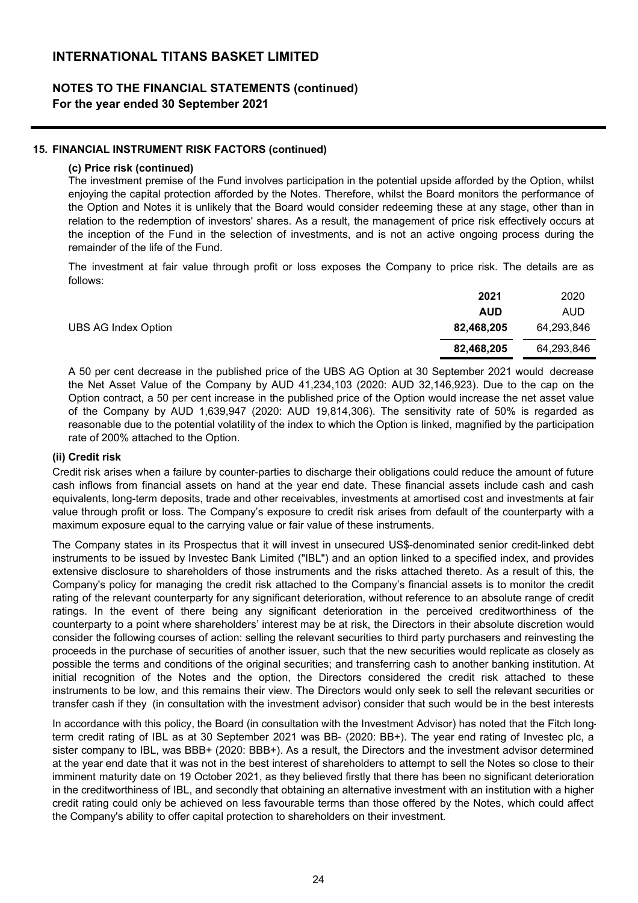# **NOTES TO THE FINANCIAL STATEMENTS (continued) For the year ended 30 September 2021**

#### **15. FINANCIAL INSTRUMENT RISK FACTORS (continued)**

#### **(c) Price risk (continued)**

The investment premise of the Fund involves participation in the potential upside afforded by the Option, whilst enjoying the capital protection afforded by the Notes. Therefore, whilst the Board monitors the performance of the Option and Notes it is unlikely that the Board would consider redeeming these at any stage, other than in relation to the redemption of investors' shares. As a result, the management of price risk effectively occurs at the inception of the Fund in the selection of investments, and is not an active ongoing process during the remainder of the life of the Fund.

The investment at fair value through profit or loss exposes the Company to price risk. The details are as follows:

|                            | 2021       | 2020       |
|----------------------------|------------|------------|
| <b>UBS AG Index Option</b> | <b>AUD</b> | <b>AUD</b> |
|                            | 82,468,205 | 64,293,846 |
|                            | 82,468,205 | 64,293,846 |
|                            |            |            |

A 50 per cent decrease in the published price of the UBS AG Option at 30 September 2021 would decrease the Net Asset Value of the Company by AUD 41,234,103 (2020: AUD 32,146,923). Due to the cap on the Option contract, a 50 per cent increase in the published price of the Option would increase the net asset value of the Company by AUD 1,639,947 (2020: AUD 19,814,306). The sensitivity rate of 50% is regarded as reasonable due to the potential volatility of the index to which the Option is linked, magnified by the participation rate of 200% attached to the Option.

#### **(ii) Credit risk**

Credit risk arises when a failure by counter-parties to discharge their obligations could reduce the amount of future cash inflows from financial assets on hand at the year end date. These financial assets include cash and cash equivalents, long-term deposits, trade and other receivables, investments at amortised cost and investments at fair value through profit or loss. The Company's exposure to credit risk arises from default of the counterparty with a maximum exposure equal to the carrying value or fair value of these instruments.

The Company states in its Prospectus that it will invest in unsecured US\$-denominated senior credit-linked debt instruments to be issued by Investec Bank Limited ("IBL") and an option linked to a specified index, and provides extensive disclosure to shareholders of those instruments and the risks attached thereto. As a result of this, the Company's policy for managing the credit risk attached to the Company's financial assets is to monitor the credit rating of the relevant counterparty for any significant deterioration, without reference to an absolute range of credit ratings. In the event of there being any significant deterioration in the perceived creditworthiness of the counterparty to a point where shareholders' interest may be at risk, the Directors in their absolute discretion would consider the following courses of action: selling the relevant securities to third party purchasers and reinvesting the proceeds in the purchase of securities of another issuer, such that the new securities would replicate as closely as possible the terms and conditions of the original securities; and transferring cash to another banking institution. At initial recognition of the Notes and the option, the Directors considered the credit risk attached to these instruments to be low, and this remains their view. The Directors would only seek to sell the relevant securities or transfer cash if they (in consultation with the investment advisor) consider that such would be in the best interests

In accordance with this policy, the Board (in consultation with the Investment Advisor) has noted that the Fitch longterm credit rating of IBL as at 30 September 2021 was BB- (2020: BB+). The year end rating of Investec plc, a sister company to IBL, was BBB+ (2020: BBB+). As a result, the Directors and the investment advisor determined at the year end date that it was not in the best interest of shareholders to attempt to sell the Notes so close to their imminent maturity date on 19 October 2021, as they believed firstly that there has been no significant deterioration in the creditworthiness of IBL, and secondly that obtaining an alternative investment with an institution with a higher credit rating could only be achieved on less favourable terms than those offered by the Notes, which could affect the Company's ability to offer capital protection to shareholders on their investment.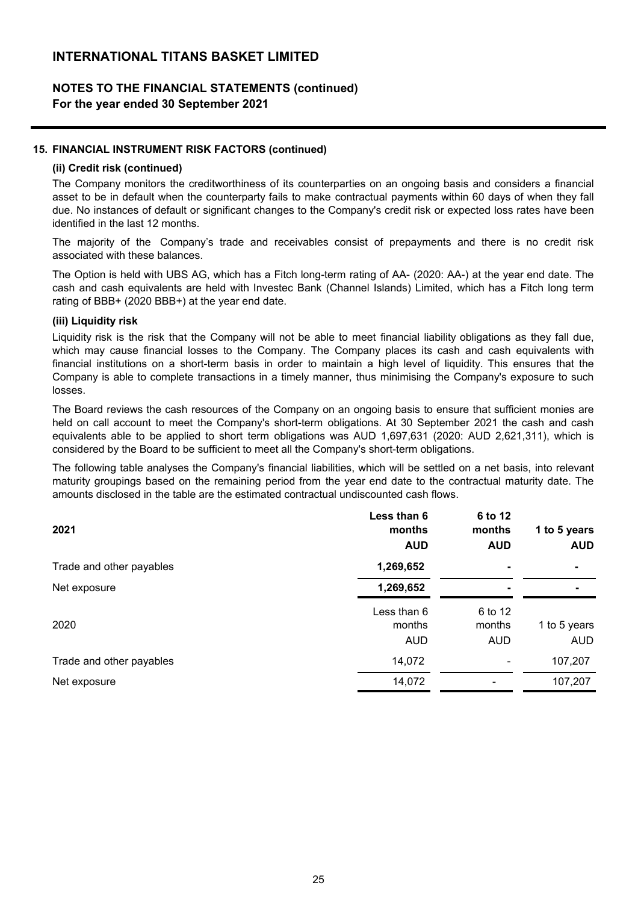# **NOTES TO THE FINANCIAL STATEMENTS (continued) For the year ended 30 September 2021**

#### **15. FINANCIAL INSTRUMENT RISK FACTORS (continued)**

#### **(ii) Credit risk (continued)**

The Company monitors the creditworthiness of its counterparties on an ongoing basis and considers a financial asset to be in default when the counterparty fails to make contractual payments within 60 days of when they fall due. No instances of default or significant changes to the Company's credit risk or expected loss rates have been identified in the last 12 months.

The majority of the Company's trade and receivables consist of prepayments and there is no credit risk associated with these balances.

The Option is held with UBS AG, which has a Fitch long-term rating of AA- (2020: AA-) at the year end date. The cash and cash equivalents are held with Investec Bank (Channel Islands) Limited, which has a Fitch long term rating of BBB+ (2020 BBB+) at the year end date.

#### **(iii) Liquidity risk**

Liquidity risk is the risk that the Company will not be able to meet financial liability obligations as they fall due, which may cause financial losses to the Company. The Company places its cash and cash equivalents with financial institutions on a short-term basis in order to maintain a high level of liquidity. This ensures that the Company is able to complete transactions in a timely manner, thus minimising the Company's exposure to such losses.

The Board reviews the cash resources of the Company on an ongoing basis to ensure that sufficient monies are held on call account to meet the Company's short-term obligations. At 30 September 2021 the cash and cash equivalents able to be applied to short term obligations was AUD 1,697,631 (2020: AUD 2,621,311), which is considered by the Board to be sufficient to meet all the Company's short-term obligations.

The following table analyses the Company's financial liabilities, which will be settled on a net basis, into relevant maturity groupings based on the remaining period from the year end date to the contractual maturity date. The amounts disclosed in the table are the estimated contractual undiscounted cash flows.

| 2021                     | Less than 6<br>months<br><b>AUD</b> | 6 to 12<br>months<br><b>AUD</b> | 1 to 5 years<br><b>AUD</b> |
|--------------------------|-------------------------------------|---------------------------------|----------------------------|
| Trade and other payables | 1,269,652                           | ٠                               |                            |
| Net exposure             | 1,269,652                           |                                 |                            |
| 2020                     | Less than 6<br>months<br><b>AUD</b> | 6 to 12<br>months<br><b>AUD</b> | 1 to 5 years<br><b>AUD</b> |
| Trade and other payables | 14,072                              |                                 | 107,207                    |
| Net exposure             | 14,072                              |                                 | 107,207                    |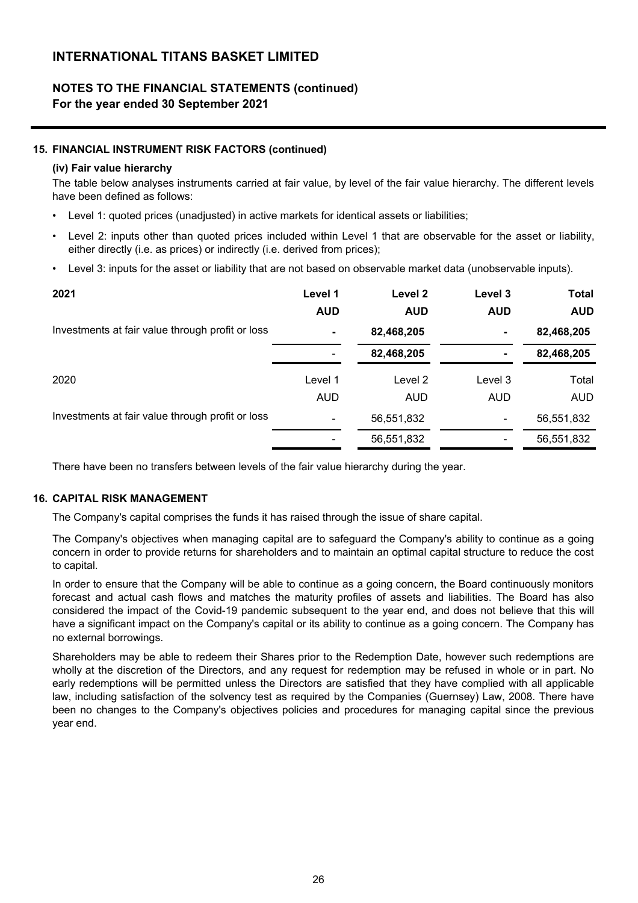# **NOTES TO THE FINANCIAL STATEMENTS (continued) For the year ended 30 September 2021**

### **15. FINANCIAL INSTRUMENT RISK FACTORS (continued)**

#### **(iv) Fair value hierarchy**

The table below analyses instruments carried at fair value, by level of the fair value hierarchy. The different levels have been defined as follows:

- Level 1: quoted prices (unadjusted) in active markets for identical assets or liabilities;
- Level 2: inputs other than quoted prices included within Level 1 that are observable for the asset or liability, either directly (i.e. as prices) or indirectly (i.e. derived from prices);
- Level 3: inputs for the asset or liability that are not based on observable market data (unobservable inputs).

| 2021                                             | Level 1<br><b>AUD</b> | Level 2<br><b>AUD</b> | Level 3<br><b>AUD</b> | <b>Total</b><br><b>AUD</b> |
|--------------------------------------------------|-----------------------|-----------------------|-----------------------|----------------------------|
| Investments at fair value through profit or loss | ٠                     | 82,468,205            | ٠                     | 82,468,205                 |
|                                                  |                       | 82,468,205            |                       | 82,468,205                 |
| 2020                                             | Level 1               | Level 2               | Level 3               | Total                      |
|                                                  | <b>AUD</b>            | <b>AUD</b>            | <b>AUD</b>            | <b>AUD</b>                 |
| Investments at fair value through profit or loss | ۰                     | 56,551,832            | ٠                     | 56,551,832                 |
|                                                  |                       | 56,551,832            | ۰                     | 56,551,832                 |

There have been no transfers between levels of the fair value hierarchy during the year.

## **16. CAPITAL RISK MANAGEMENT**

The Company's capital comprises the funds it has raised through the issue of share capital.

The Company's objectives when managing capital are to safeguard the Company's ability to continue as a going concern in order to provide returns for shareholders and to maintain an optimal capital structure to reduce the cost to capital.

In order to ensure that the Company will be able to continue as a going concern, the Board continuously monitors forecast and actual cash flows and matches the maturity profiles of assets and liabilities. The Board has also considered the impact of the Covid-19 pandemic subsequent to the year end, and does not believe that this will have a significant impact on the Company's capital or its ability to continue as a going concern. The Company has no external borrowings.

Shareholders may be able to redeem their Shares prior to the Redemption Date, however such redemptions are wholly at the discretion of the Directors, and any request for redemption may be refused in whole or in part. No early redemptions will be permitted unless the Directors are satisfied that they have complied with all applicable law, including satisfaction of the solvency test as required by the Companies (Guernsey) Law, 2008. There have been no changes to the Company's objectives policies and procedures for managing capital since the previous year end.